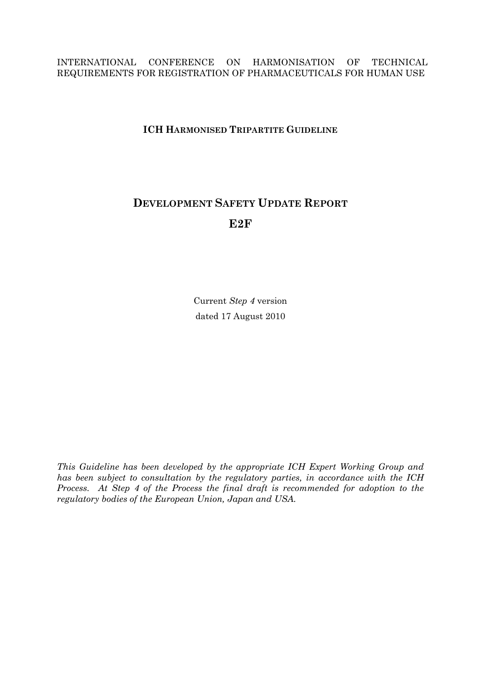#### INTERNATIONAL CONFERENCE ON HARMONISATION OF TECHNICAL REQUIREMENTS FOR REGISTRATION OF PHARMACEUTICALS FOR HUMAN USE

# **ICH HARMONISED TRIPARTITE GUIDELINE**

# **DEVELOPMENT SAFETY UPDATE REPORT E2F**

Current *Step 4* version dated 17 August 2010

*This Guideline has been developed by the appropriate ICH Expert Working Group and has been subject to consultation by the regulatory parties, in accordance with the ICH Process. At Step 4 of the Process the final draft is recommended for adoption to the regulatory bodies of the European Union, Japan and USA.*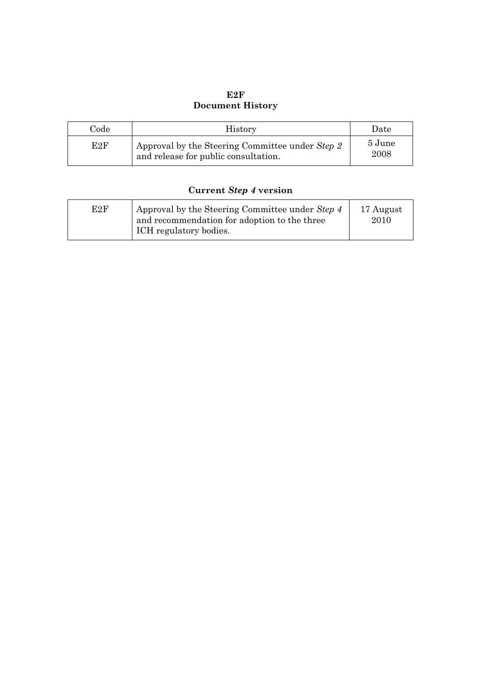# **E2F Document History**

| Code | <b>History</b>                                                                          | Date           |
|------|-----------------------------------------------------------------------------------------|----------------|
| E2F  | Approval by the Steering Committee under Step 2<br>and release for public consultation. | 5 June<br>2008 |

# **Current** *Step 4* **version**

| E2F | Approval by the Steering Committee under Step 4<br>and recommendation for adoption to the three<br>ICH regulatory bodies. | 17 August<br>2010 |
|-----|---------------------------------------------------------------------------------------------------------------------------|-------------------|
|-----|---------------------------------------------------------------------------------------------------------------------------|-------------------|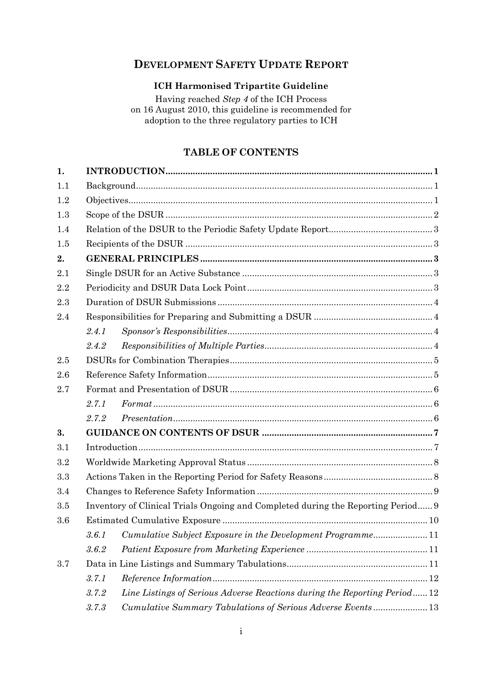# **DEVELOPMENT SAFETY UPDATE REPORT**

# **ICH Harmonised Tripartite Guideline**

Having reached *Step 4* of the ICH Process on 16 August 2010, this guideline is recommended for adoption to the three regulatory parties to ICH

# **TABLE OF CONTENTS**

| 1.  |       |                                                                                  |  |  |  |  |  |  |  |
|-----|-------|----------------------------------------------------------------------------------|--|--|--|--|--|--|--|
| 1.1 |       |                                                                                  |  |  |  |  |  |  |  |
| 1.2 |       |                                                                                  |  |  |  |  |  |  |  |
| 1.3 |       |                                                                                  |  |  |  |  |  |  |  |
| 1.4 |       |                                                                                  |  |  |  |  |  |  |  |
| 1.5 |       |                                                                                  |  |  |  |  |  |  |  |
| 2.  |       |                                                                                  |  |  |  |  |  |  |  |
| 2.1 |       |                                                                                  |  |  |  |  |  |  |  |
| 2.2 |       |                                                                                  |  |  |  |  |  |  |  |
| 2.3 |       |                                                                                  |  |  |  |  |  |  |  |
| 2.4 |       |                                                                                  |  |  |  |  |  |  |  |
|     | 2.4.1 |                                                                                  |  |  |  |  |  |  |  |
|     | 2.4.2 |                                                                                  |  |  |  |  |  |  |  |
| 2.5 |       |                                                                                  |  |  |  |  |  |  |  |
| 2.6 |       |                                                                                  |  |  |  |  |  |  |  |
| 2.7 |       |                                                                                  |  |  |  |  |  |  |  |
|     | 2.7.1 |                                                                                  |  |  |  |  |  |  |  |
|     | 2.7.2 |                                                                                  |  |  |  |  |  |  |  |
| 3.  |       |                                                                                  |  |  |  |  |  |  |  |
| 3.1 |       |                                                                                  |  |  |  |  |  |  |  |
| 3.2 |       |                                                                                  |  |  |  |  |  |  |  |
| 3.3 |       |                                                                                  |  |  |  |  |  |  |  |
| 3.4 |       |                                                                                  |  |  |  |  |  |  |  |
| 3.5 |       | Inventory of Clinical Trials Ongoing and Completed during the Reporting Period 9 |  |  |  |  |  |  |  |
| 3.6 |       |                                                                                  |  |  |  |  |  |  |  |
|     | 3.6.1 | Cumulative Subject Exposure in the Development Programme11                       |  |  |  |  |  |  |  |
|     | 3.6.2 |                                                                                  |  |  |  |  |  |  |  |
| 3.7 |       |                                                                                  |  |  |  |  |  |  |  |
|     | 3.7.1 |                                                                                  |  |  |  |  |  |  |  |
|     | 3.7.2 | Line Listings of Serious Adverse Reactions during the Reporting Period12         |  |  |  |  |  |  |  |
|     | 3.7.3 | Cumulative Summary Tabulations of Serious Adverse Events13                       |  |  |  |  |  |  |  |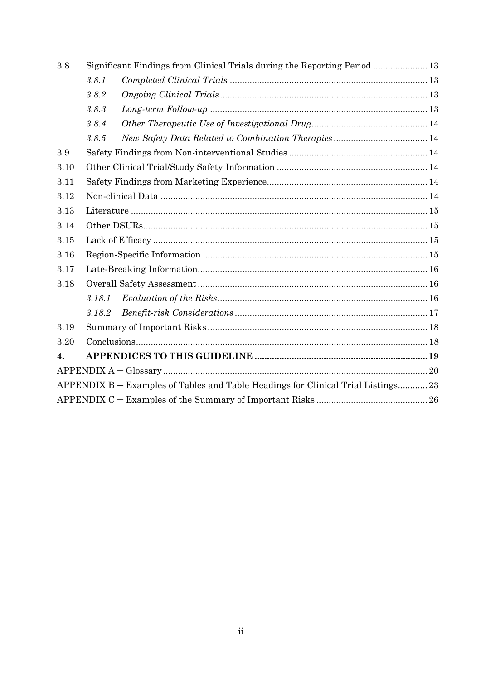| 3.8  | Significant Findings from Clinical Trials during the Reporting Period  13 |                                                                                   |  |  |  |  |
|------|---------------------------------------------------------------------------|-----------------------------------------------------------------------------------|--|--|--|--|
|      | 3.8.1                                                                     |                                                                                   |  |  |  |  |
|      | 3.8.2                                                                     |                                                                                   |  |  |  |  |
|      | 3.8.3                                                                     |                                                                                   |  |  |  |  |
|      | 3.8.4                                                                     |                                                                                   |  |  |  |  |
|      | 3.8.5                                                                     |                                                                                   |  |  |  |  |
| 3.9  |                                                                           |                                                                                   |  |  |  |  |
| 3.10 |                                                                           |                                                                                   |  |  |  |  |
| 3.11 |                                                                           |                                                                                   |  |  |  |  |
| 3.12 |                                                                           |                                                                                   |  |  |  |  |
| 3.13 |                                                                           |                                                                                   |  |  |  |  |
| 3.14 |                                                                           |                                                                                   |  |  |  |  |
| 3.15 |                                                                           |                                                                                   |  |  |  |  |
| 3.16 |                                                                           |                                                                                   |  |  |  |  |
| 3.17 |                                                                           |                                                                                   |  |  |  |  |
| 3.18 |                                                                           |                                                                                   |  |  |  |  |
|      | 3.18.1                                                                    |                                                                                   |  |  |  |  |
|      | 3.18.2                                                                    |                                                                                   |  |  |  |  |
| 3.19 |                                                                           |                                                                                   |  |  |  |  |
| 3.20 |                                                                           |                                                                                   |  |  |  |  |
| 4.   |                                                                           |                                                                                   |  |  |  |  |
|      |                                                                           |                                                                                   |  |  |  |  |
|      |                                                                           | APPENDIX B – Examples of Tables and Table Headings for Clinical Trial Listings 23 |  |  |  |  |
|      |                                                                           |                                                                                   |  |  |  |  |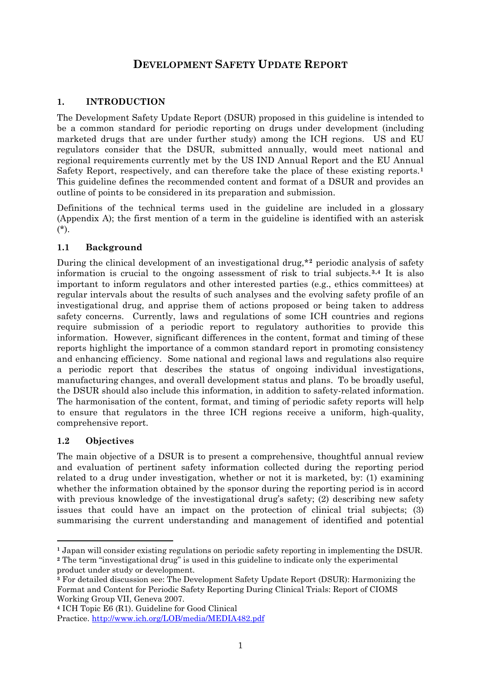# **DEVELOPMENT SAFETY UPDATE REPORT**

## <span id="page-4-0"></span>**1. INTRODUCTION**

The Development Safety Update Report (DSUR) proposed in this guideline is intended to be a common standard for periodic reporting on drugs under development (including marketed drugs that are under further study) among the ICH regions. US and EU regulators consider that the DSUR, submitted annually, would meet national and regional requirements currently met by the US IND Annual Report and the EU Annual Safety Report, respectively, and can therefore take the place of these existing reports.**[1](#page-4-1)** This guideline defines the recommended content and format of a DSUR and provides an outline of points to be considered in its preparation and submission.

Definitions of the technical terms used in the guideline are included in a glossary (Appendix A); the first mention of a term in the guideline is identified with an asterisk (\*).

#### **1.1 Background**

During the clinical development of an investigational drug,\***[2](#page-4-2)** periodic analysis of safety information is crucial to the ongoing assessment of risk to trial subjects.**[3](#page-4-3),[4](#page-4-4)** It is also important to inform regulators and other interested parties (e.g., ethics committees) at regular intervals about the results of such analyses and the evolving safety profile of an investigational drug, and apprise them of actions proposed or being taken to address safety concerns. Currently, laws and regulations of some ICH countries and regions require submission of a periodic report to regulatory authorities to provide this information. However, significant differences in the content, format and timing of these reports highlight the importance of a common standard report in promoting consistency and enhancing efficiency. Some national and regional laws and regulations also require a periodic report that describes the status of ongoing individual investigations, manufacturing changes, and overall development status and plans. To be broadly useful, the DSUR should also include this information, in addition to safety-related information. The harmonisation of the content, format, and timing of periodic safety reports will help to ensure that regulators in the three ICH regions receive a uniform, high-quality, comprehensive report.

#### **1.2 Objectives**

 $\overline{a}$ 

The main objective of a DSUR is to present a comprehensive, thoughtful annual review and evaluation of pertinent safety information collected during the reporting period related to a drug under investigation, whether or not it is marketed, by: (1) examining whether the information obtained by the sponsor during the reporting period is in accord with previous knowledge of the investigational drug's safety; (2) describing new safety issues that could have an impact on the protection of clinical trial subjects; (3) summarising the current understanding and management of identified and potential

<span id="page-4-1"></span>**<sup>1</sup>** Japan will consider existing regulations on periodic safety reporting in implementing the DSUR.

<span id="page-4-2"></span>**<sup>2</sup>** The term "investigational drug" is used in this guideline to indicate only the experimental product under study or development.

<span id="page-4-3"></span>**<sup>3</sup>** For detailed discussion see: The Development Safety Update Report (DSUR): Harmonizing the Format and Content for Periodic Safety Reporting During Clinical Trials: Report of CIOMS Working Group VII, Geneva 2007.

<span id="page-4-4"></span>**<sup>4</sup>** ICH Topic E6 (R1). Guideline for Good Clinical Practice. <http://www.ich.org/LOB/media/MEDIA482.pdf>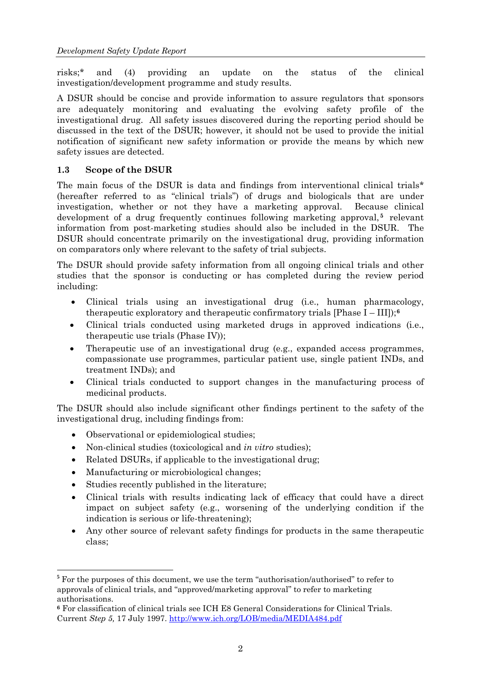<span id="page-5-0"></span>risks;\* and (4) providing an update on the status of the clinical investigation/development programme and study results.

A DSUR should be concise and provide information to assure regulators that sponsors are adequately monitoring and evaluating the evolving safety profile of the investigational drug. All safety issues discovered during the reporting period should be discussed in the text of the DSUR; however, it should not be used to provide the initial notification of significant new safety information or provide the means by which new safety issues are detected.

#### **1.3 Scope of the DSUR**

The main focus of the DSUR is data and findings from interventional clinical trials<sup>\*</sup> (hereafter referred to as "clinical trials") of drugs and biologicals that are under investigation, whether or not they have a marketing approval. Because clinical development of a drug frequently continues following marketing approval,<sup>[5](#page-5-0)</sup> relevant information from post-marketing studies should also be included in the DSUR. The DSUR should concentrate primarily on the investigational drug, providing information on comparators only where relevant to the safety of trial subjects.

The DSUR should provide safety information from all ongoing clinical trials and other studies that the sponsor is conducting or has completed during the review period including:

- Clinical trials using an investigational drug (i.e., human pharma[co](#page-5-0)logy, therapeutic exploratory and therapeutic confirmatory trials  $[Phase I - III]$ ;<sup>[6](#page-5-0)</sup>
- Clinical trials conducted using marketed drugs in approved indications (i.e., therapeutic use trials (Phase IV));
- Therapeutic use of an investigational drug (e.g., expanded access programmes, compassionate use programmes, particular patient use, single patient INDs, and treatment INDs); and
- Clinical trials conducted to support changes in the manufacturing process of medicinal products.

The DSUR should also include significant other findings pertinent to the safety of the investigational drug, including findings from:

- Observational or epidemiological studies;
- Non-clinical studies (toxicological and *in vitro* studies);
- Related DSURs, if applicable to the investigational drug;
- Manufacturing or microbiological changes;
- Studies recently published in the literature;
- Clinical trials with results indicating lack of efficacy that could have a direct impact on subject safety (e.g., worsening of the underlying condition if the indication is serious or life-threatening);
- Any other source of relevant safety findings for products in the same therapeutic class;

 $\overline{a}$ **<sup>5</sup>** For the purposes of this document, we use the term "authorisation/authorised" to refer to approvals of clinical trials, and "approved/marketing approval" to refer to marketing authorisations.

**<sup>6</sup>** For classification of clinical trials see ICH E8 General Considerations for Clinical Trials. Current *Step 5,* 17 July 1997. <http://www.ich.org/LOB/media/MEDIA484.pdf>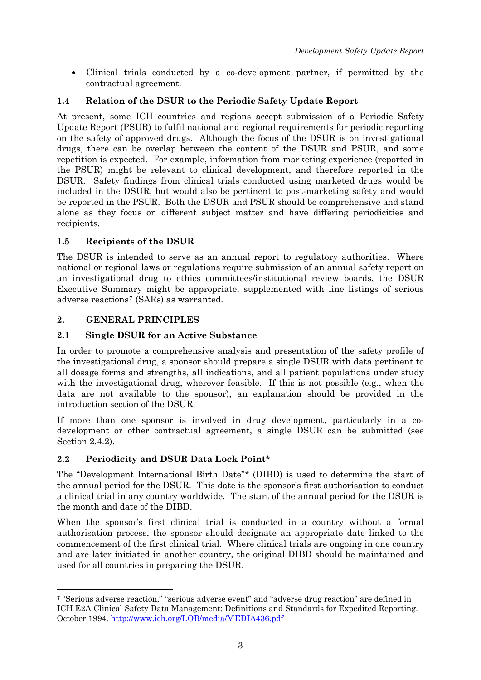<span id="page-6-0"></span>• Clinical trials conducted by a co-development partner, if permitted by the contractual agreement.

# **1.4 Relation of the DSUR to the Periodic Safety Update Report**

At present, some ICH countries and regions accept submission of a Periodic Safety Update Report (PSUR) to fulfil national and regional requirements for periodic reporting on the safety of approved drugs. Although the focus of the DSUR is on investigational drugs, there can be overlap between the content of the DSUR and PSUR, and some repetition is expected. For example, information from marketing experience (reported in the PSUR) might be relevant to clinical development, and therefore reported in the DSUR. Safety findings from clinical trials conducted using marketed drugs would be included in the DSUR, but would also be pertinent to post-marketing safety and would be reported in the PSUR. Both the DSUR and PSUR should be comprehensive and stand alone as they focus on different subject matter and have differing periodicities and recipients.

## **1.5 Recipients of the DSUR**

The DSUR is intended to serve as an annual report to regulatory authorities. Where national or regional laws or regulations require submission of an annual safety report on an investigational drug to ethics committees/institutional review boards, the DSUR Executive Summary might be appropriate, supplemented with line listings of serious adverse reactions**[7](#page-6-0)** (SARs) as warranted.

#### **2. GENERAL PRINCIPLES**

 $\overline{a}$ 

#### **2.1 Single DSUR for an Active Substance**

In order to promote a comprehensive analysis and presentation of the safety profile of the investigational drug, a sponsor should prepare a single DSUR with data pertinent to all dosage forms and strengths, all indications, and all patient populations under study with the investigational drug, wherever feasible. If this is not possible (e.g., when the data are not available to the sponsor), an explanation should be provided in the introduction section of the DSUR.

If more than one sponsor is involved in drug development, particularly in a codevelopment or other contractual agreement, a single DSUR can be submitted (see Section 2.4.2).

## **2.2 Periodicity and DSUR Data Lock Point\***

The "Development International Birth Date"\* (DIBD) is used to determine the start of the annual period for the DSUR. This date is the sponsor's first authorisation to conduct a clinical trial in any country worldwide. The start of the annual period for the DSUR is the month and date of the DIBD.

When the sponsor's first clinical trial is conducted in a country without a formal authorisation process, the sponsor should designate an appropriate date linked to the commencement of the first clinical trial. Where clinical trials are ongoing in one country and are later initiated in another country, the original DIBD should be maintained and used for all countries in preparing the DSUR.

**<sup>7</sup>** "Serious adverse reaction," "serious adverse event" and "adverse drug reaction" are defined in ICH E2A Clinical Safety Data Management: Definitions and Standards for Expedited Reporting. October 1994.<http://www.ich.org/LOB/media/MEDIA436.pdf>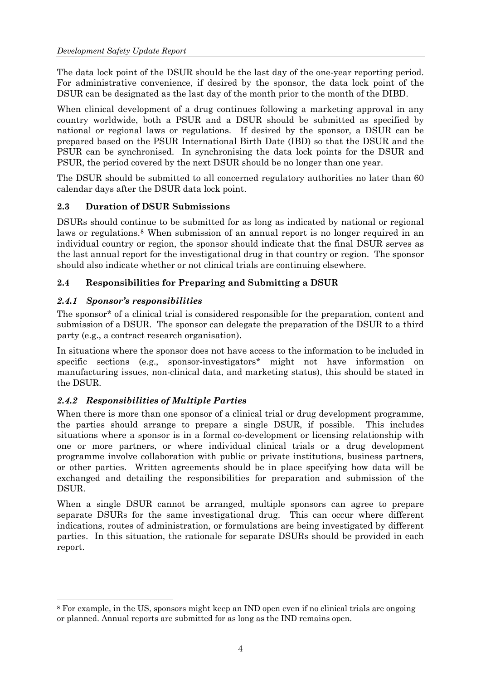<span id="page-7-0"></span>The data lock point of the DSUR should be the last day of the one-year reporting period. For administrative convenience, if desired by the sponsor, the data lock point of the DSUR can be designated as the last day of the month prior to the month of the DIBD.

When clinical development of a drug continues following a marketing approval in any country worldwide, both a PSUR and a DSUR should be submitted as specified by national or regional laws or regulations. If desired by the sponsor, a DSUR can be prepared based on the PSUR International Birth Date (IBD) so that the DSUR and the PSUR can be synchronised. In synchronising the data lock points for the DSUR and PSUR, the period covered by the next DSUR should be no longer than one year.

The DSUR should be submitted to all concerned regulatory authorities no later than 60 calendar days after the DSUR data lock point.

## **2.3 Duration of DSUR Submissions**

DSURs should continue to be submitted for as long as indicated by national or regional laws or regulations.**[8](#page-7-0)** When submission of an annual report is no longer required in an individual country or region, the sponsor should indicate that the final DSUR serves as the last annual report for the investigational drug in that country or region. The sponsor should also indicate whether or not clinical trials are continuing elsewhere.

## **2.4 Responsibilities for Preparing and Submitting a DSUR**

#### *2.4.1 Sponsor's responsibilities*

 $\overline{a}$ 

The sponsor\* of a clinical trial is considered responsible for the preparation, content and submission of a DSUR. The sponsor can delegate the preparation of the DSUR to a third party (e.g., a contract research organisation).

In situations where the sponsor does not have access to the information to be included in specific sections (e.g., sponsor-investigators\* might not have information on manufacturing issues, non-clinical data, and marketing status), this should be stated in the DSUR.

## *2.4.2 Responsibilities of Multiple Parties*

When there is more than one sponsor of a clinical trial or drug development programme, the parties should arrange to prepare a single DSUR, if possible. This includes situations where a sponsor is in a formal co-development or licensing relationship with one or more partners, or where individual clinical trials or a drug development programme involve collaboration with public or private institutions, business partners, or other parties. Written agreements should be in place specifying how data will be exchanged and detailing the responsibilities for preparation and submission of the DSUR.

When a single DSUR cannot be arranged, multiple sponsors can agree to prepare separate DSURs for the same investigational drug. This can occur where different indications, routes of administration, or formulations are being investigated by different parties. In this situation, the rationale for separate DSURs should be provided in each report.

**<sup>8</sup>** For example, in the US, sponsors might keep an IND open even if no clinical trials are ongoing or planned. Annual reports are submitted for as long as the IND remains open.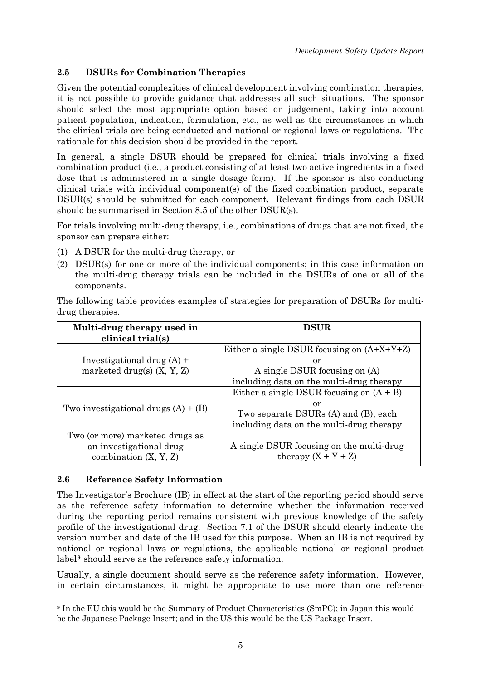# <span id="page-8-0"></span>**2.5 DSURs for Combination Therapies**

Given the potential complexities of clinical development involving combination therapies, it is not possible to provide guidance that addresses all such situations. The sponsor should select the most appropriate option based on judgement, taking into account patient population, indication, formulation, etc., as well as the circumstances in which the clinical trials are being conducted and national or regional laws or regulations. The rationale for this decision should be provided in the report.

In general, a single DSUR should be prepared for clinical trials involving a fixed combination product (i.e., a product consisting of at least two active ingredients in a fixed dose that is administered in a single dosage form). If the sponsor is also conducting clinical trials with individual component(s) of the fixed combination product, separate DSUR(s) should be submitted for each component. Relevant findings from each DSUR should be summarised in Section 8.5 of the other DSUR(s).

For trials involving multi-drug therapy, i.e., combinations of drugs that are not fixed, the sponsor can prepare either:

- (1) A DSUR for the multi-drug therapy, or
- (2) DSUR(s) for one or more of the individual components; in this case information on the multi-drug therapy trials can be included in the DSURs of one or all of the components.

The following table provides examples of strategies for preparation of DSURs for multidrug therapies.

| Multi-drug therapy used in<br>clinical trial(s) | <b>DSUR</b>                                  |
|-------------------------------------------------|----------------------------------------------|
|                                                 | Either a single DSUR focusing on $(A+X+Y+Z)$ |
| Investigational drug $(A)$ +                    | or                                           |
| marketed drug(s) $(X, Y, Z)$                    | A single DSUR focusing on (A)                |
|                                                 | including data on the multi-drug therapy     |
|                                                 | Either a single DSUR focusing on $(A + B)$   |
|                                                 | or                                           |
| Two investigational drugs $(A) + (B)$           | Two separate DSURs (A) and (B), each         |
|                                                 | including data on the multi-drug therapy     |
| Two (or more) marketed drugs as                 |                                              |
| an investigational drug                         | A single DSUR focusing on the multi-drug     |
| combination $(X, Y, Z)$                         | therapy $(X + Y + Z)$                        |

## **2.6 Reference Safety Information**

 $\overline{a}$ 

The Investigator's Brochure (IB) in effect at the start of the reporting period should serve as the reference safety information to determine whether the information received during the reporting period remains consistent with previous knowledge of the safety profile of the investigational drug. Section 7.1 of the DSUR should clearly indicate the version number and date of the IB used for this purpose. When an IB is not required by national or regional laws or regulations, the applicable national or regional product label**[9](#page-8-0)** should serve as the reference safety information.

Usually, a single document should serve as the reference safety information. However, in certain circumstances, it might be appropriate to use more than one reference

**<sup>9</sup>** In the EU this would be the Summary of Product Characteristics (SmPC); in Japan this would be the Japanese Package Insert; and in the US this would be the US Package Insert.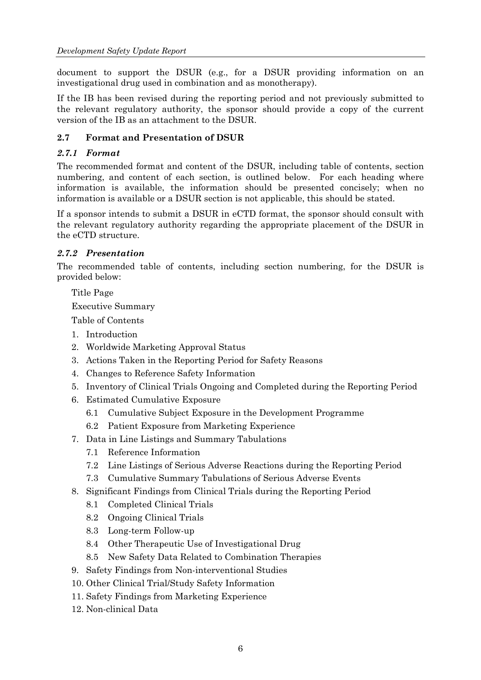<span id="page-9-0"></span>document to support the DSUR (e.g., for a DSUR providing information on an investigational drug used in combination and as monotherapy).

If the IB has been revised during the reporting period and not previously submitted to the relevant regulatory authority, the sponsor should provide a copy of the current version of the IB as an attachment to the DSUR.

## **2.7 Format and Presentation of DSUR**

#### *2.7.1 Format*

The recommended format and content of the DSUR, including table of contents, section numbering, and content of each section, is outlined below. For each heading where information is available, the information should be presented concisely; when no information is available or a DSUR section is not applicable, this should be stated.

If a sponsor intends to submit a DSUR in eCTD format, the sponsor should consult with the relevant regulatory authority regarding the appropriate placement of the DSUR in the eCTD structure.

#### *2.7.2 Presentation*

The recommended table of contents, including section numbering, for the DSUR is provided below:

Title Page

Executive Summary

Table of Contents

- 1. Introduction
- 2. Worldwide Marketing Approval Status
- 3. Actions Taken in the Reporting Period for Safety Reasons
- 4. Changes to Reference Safety Information
- 5. Inventory of Clinical Trials Ongoing and Completed during the Reporting Period
- 6. Estimated Cumulative Exposure
	- 6.1 Cumulative Subject Exposure in the Development Programme
	- 6.2 Patient Exposure from Marketing Experience
- 7. Data in Line Listings and Summary Tabulations
	- 7.1 Reference Information
	- 7.2 Line Listings of Serious Adverse Reactions during the Reporting Period
	- 7.3 Cumulative Summary Tabulations of Serious Adverse Events
- 8. Significant Findings from Clinical Trials during the Reporting Period
	- 8.1 Completed Clinical Trials
	- 8.2 Ongoing Clinical Trials
	- 8.3 Long-term Follow-up
	- 8.4 Other Therapeutic Use of Investigational Drug
	- 8.5 New Safety Data Related to Combination Therapies
- 9. Safety Findings from Non-interventional Studies
- 10. Other Clinical Trial/Study Safety Information
- 11. Safety Findings from Marketing Experience
- 12. Non-clinical Data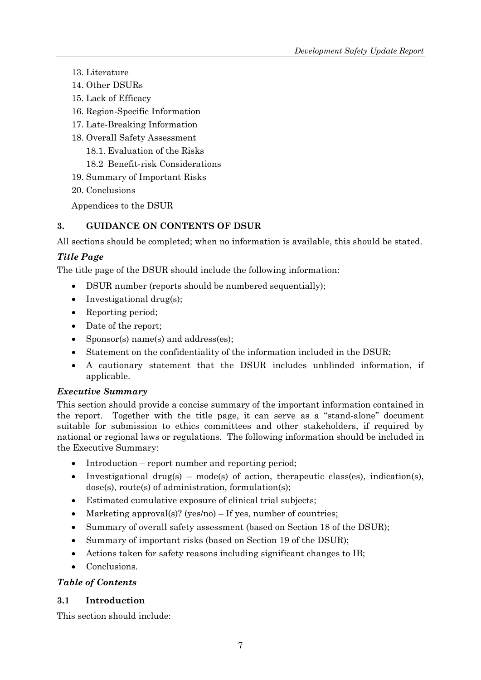- <span id="page-10-0"></span>13. Literature
- 14. Other DSURs
- 15. Lack of Efficacy
- 16. Region-Specific Information
- 17. Late-Breaking Information
- 18. Overall Safety Assessment
	- 18.1. Evaluation of the Risks
	- 18.2 Benefit-risk Considerations
- 19. Summary of Important Risks
- 20. Conclusions

Appendices to the DSUR

# **3. GUIDANCE ON CONTENTS OF DSUR**

All sections should be completed; when no information is available, this should be stated.

## *Title Page*

The title page of the DSUR should include the following information:

- DSUR number (reports should be numbered sequentially);
- Investigational drug(s);
- Reporting period;
- Date of the report;
- Sponsor(s) name(s) and address(es);
- Statement on the confidentiality of the information included in the DSUR;
- A cautionary statement that the DSUR includes unblinded information, if applicable.

## *Executive Summary*

This section should provide a concise summary of the important information contained in the report. Together with the title page, it can serve as a "stand-alone" document suitable for submission to ethics committees and other stakeholders, if required by national or regional laws or regulations. The following information should be included in the Executive Summary:

- Introduction report number and reporting period;
- Investigational drug(s) mode(s) of action, therapeutic class(es), indication(s), dose(s), route(s) of administration, formulation(s);
- Estimated cumulative exposure of clinical trial subjects;
- Marketing approval(s)? (yes/no) If yes, number of countries;
- Summary of overall safety assessment (based on Section 18 of the DSUR);
- Summary of important risks (based on Section 19 of the DSUR);
- Actions taken for safety reasons including significant changes to IB;
- Conclusions.

## *Table of Contents*

## **3.1 Introduction**

This section should include: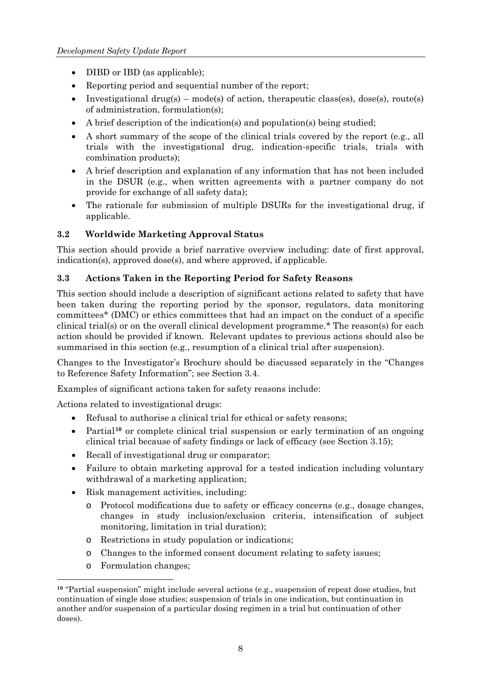- <span id="page-11-0"></span>• DIBD or IBD (as applicable);
- Reporting period and sequential number of the report;
- Investigational drug(s) mode(s) of action, therapeutic class(es), dose(s), route(s) of administration, formulation(s);
- A brief description of the indication(s) and population(s) being studied;
- A short summary of the scope of the clinical trials covered by the report (e.g., all trials with the investigational drug, indication-specific trials, trials with combination products);
- A brief description and explanation of any information that has not been included in the DSUR (e.g., when written agreements with a partner company do not provide for exchange of all safety data);
- The rationale for submission of multiple DSURs for the investigational drug, if applicable.

# **3.2 Worldwide Marketing Approval Status**

This section should provide a brief narrative overview including: date of first approval, indication(s), approved dose(s), and where approved, if applicable.

## **3.3 Actions Taken in the Reporting Period for Safety Reasons**

This section should include a description of significant actions related to safety that have been taken during the reporting period by the sponsor, regulators, data monitoring committees\* (DMC) or ethics committees that had an impact on the conduct of a specific clinical trial(s) or on the overall clinical development programme.\* The reason(s) for each action should be provided if known. Relevant updates to previous actions should also be summarised in this section (e.g., resumption of a clinical trial after suspension).

Changes to the Investigator's Brochure should be discussed separately in the "Changes to Reference Safety Information"; see Section 3.4.

Examples of significant actions taken for safety reasons include:

Actions related to investigational drugs:

- Refusal to authorise a clinical trial for ethical or safety reasons;
- Partial<sup>[10](#page-11-0)</sup> or complete clinical trial suspension or early termination of an ongoing clinical trial because of safety findings or lack of efficacy (see Section 3.15);
- Recall of investigational drug or comparator;
- Failure to obtain marketing approval for a tested indication including voluntary withdrawal of a marketing application;
- Risk management activities, including:
	- o Protocol modifications due to safety or efficacy concerns (e.g., dosage changes, changes in study inclusion/exclusion criteria, intensification of subject monitoring, limitation in trial duration);
	- o Restrictions in study population or indications;
	- o Changes to the informed consent document relating to safety issues;
	- o Formulation changes;

 $\overline{a}$ 

**<sup>10</sup>** "Partial suspension" might include several actions (e.g., suspension of repeat dose studies, but continuation of single dose studies; suspension of trials in one indication, but continuation in another and/or suspension of a particular dosing regimen in a trial but continuation of other doses).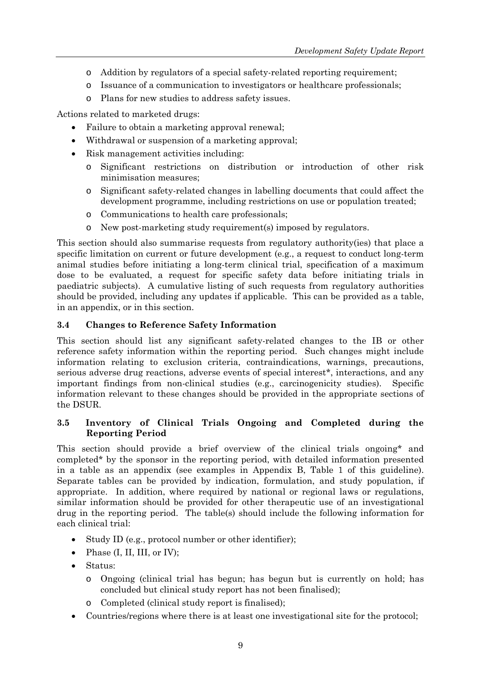- <span id="page-12-0"></span>o Addition by regulators of a special safety-related reporting requirement;
- o Issuance of a communication to investigators or healthcare professionals;
- o Plans for new studies to address safety issues.

Actions related to marketed drugs:

- Failure to obtain a marketing approval renewal;
- Withdrawal or suspension of a marketing approval;
- Risk management activities including:
	- o Significant restrictions on distribution or introduction of other risk minimisation measures;
	- o Significant safety-related changes in labelling documents that could affect the development programme, including restrictions on use or population treated;
	- o Communications to health care professionals;
	- o New post-marketing study requirement(s) imposed by regulators.

This section should also summarise requests from regulatory authority(ies) that place a specific limitation on current or future development (e.g., a request to conduct long-term animal studies before initiating a long-term clinical trial, specification of a maximum dose to be evaluated, a request for specific safety data before initiating trials in paediatric subjects). A cumulative listing of such requests from regulatory authorities should be provided, including any updates if applicable. This can be provided as a table, in an appendix, or in this section.

## **3.4 Changes to Reference Safety Information**

This section should list any significant safety-related changes to the IB or other reference safety information within the reporting period. Such changes might include information relating to exclusion criteria, contraindications, warnings, precautions, serious adverse drug reactions, adverse events of special interest\*, interactions, and any important findings from non-clinical studies (e.g., carcinogenicity studies). Specific information relevant to these changes should be provided in the appropriate sections of the DSUR.

## **3.5 Inventory of Clinical Trials Ongoing and Completed during the Reporting Period**

This section should provide a brief overview of the clinical trials ongoing\* and completed\* by the sponsor in the reporting period, with detailed information presented in a table as an appendix (see examples in Appendix B, Table 1 of this guideline). Separate tables can be provided by indication, formulation, and study population, if appropriate. In addition, where required by national or regional laws or regulations, similar information should be provided for other therapeutic use of an investigational drug in the reporting period. The table(s) should include the following information for each clinical trial:

- Study ID (e.g., protocol number or other identifier);
- Phase  $(I, II, III, or IV)$ ;
- Status:
	- o Ongoing (clinical trial has begun; has begun but is currently on hold; has concluded but clinical study report has not been finalised);
	- o Completed (clinical study report is finalised);
- Countries/regions where there is at least one investigational site for the protocol;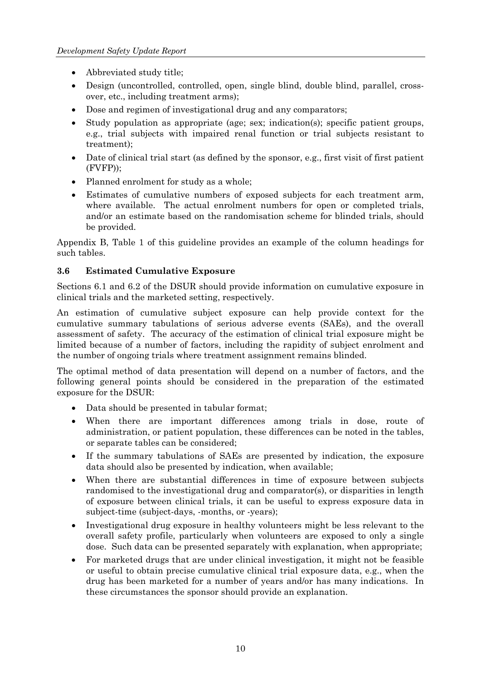- <span id="page-13-0"></span>• Abbreviated study title;
- Design (uncontrolled, controlled, open, single blind, double blind, parallel, crossover, etc., including treatment arms);
- Dose and regimen of investigational drug and any comparators;
- Study population as appropriate (age; sex; indication(s); specific patient groups, e.g., trial subjects with impaired renal function or trial subjects resistant to treatment);
- Date of clinical trial start (as defined by the sponsor, e.g., first visit of first patient (FVFP));
- Planned enrolment for study as a whole;
- Estimates of cumulative numbers of exposed subjects for each treatment arm, where available. The actual enrolment numbers for open or completed trials, and/or an estimate based on the randomisation scheme for blinded trials, should be provided.

Appendix B, Table 1 of this guideline provides an example of the column headings for such tables.

#### **3.6 Estimated Cumulative Exposure**

Sections 6.1 and 6.2 of the DSUR should provide information on cumulative exposure in clinical trials and the marketed setting, respectively.

An estimation of cumulative subject exposure can help provide context for the cumulative summary tabulations of serious adverse events (SAEs), and the overall assessment of safety. The accuracy of the estimation of clinical trial exposure might be limited because of a number of factors, including the rapidity of subject enrolment and the number of ongoing trials where treatment assignment remains blinded.

The optimal method of data presentation will depend on a number of factors, and the following general points should be considered in the preparation of the estimated exposure for the DSUR:

- Data should be presented in tabular format;
- When there are important differences among trials in dose, route of administration, or patient population, these differences can be noted in the tables, or separate tables can be considered;
- If the summary tabulations of SAEs are presented by indication, the exposure data should also be presented by indication, when available;
- When there are substantial differences in time of exposure between subjects randomised to the investigational drug and comparator(s), or disparities in length of exposure between clinical trials, it can be useful to express exposure data in subject-time (subject-days, -months, or -years);
- Investigational drug exposure in healthy volunteers might be less relevant to the overall safety profile, particularly when volunteers are exposed to only a single dose. Such data can be presented separately with explanation, when appropriate;
- For marketed drugs that are under clinical investigation, it might not be feasible or useful to obtain precise cumulative clinical trial exposure data, e.g., when the drug has been marketed for a number of years and/or has many indications. In these circumstances the sponsor should provide an explanation.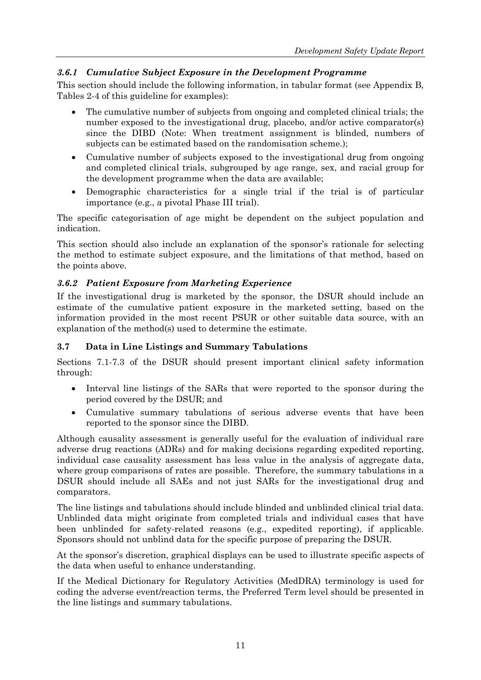# <span id="page-14-0"></span>*3.6.1 Cumulative Subject Exposure in the Development Programme*

This section should include the following information, in tabular format (see Appendix B, Tables 2-4 of this guideline for examples):

- The cumulative number of subjects from ongoing and completed clinical trials; the number exposed to the investigational drug, placebo, and/or active comparator(s) since the DIBD (Note: When treatment assignment is blinded, numbers of subjects can be estimated based on the randomisation scheme.);
- Cumulative number of subjects exposed to the investigational drug from ongoing and completed clinical trials, subgrouped by age range, sex, and racial group for the development programme when the data are available;
- Demographic characteristics for a single trial if the trial is of particular importance (e.g., a pivotal Phase III trial).

The specific categorisation of age might be dependent on the subject population and indication.

This section should also include an explanation of the sponsor's rationale for selecting the method to estimate subject exposure, and the limitations of that method, based on the points above.

# *3.6.2 Patient Exposure from Marketing Experience*

If the investigational drug is marketed by the sponsor, the DSUR should include an estimate of the cumulative patient exposure in the marketed setting, based on the information provided in the most recent PSUR or other suitable data source, with an explanation of the method(s) used to determine the estimate.

## **3.7 Data in Line Listings and Summary Tabulations**

Sections 7.1-7.3 of the DSUR should present important clinical safety information through:

- Interval line listings of the SARs that were reported to the sponsor during the period covered by the DSUR; and
- Cumulative summary tabulations of serious adverse events that have been reported to the sponsor since the DIBD.

Although causality assessment is generally useful for the evaluation of individual rare adverse drug reactions (ADRs) and for making decisions regarding expedited reporting, individual case causality assessment has less value in the analysis of aggregate data, where group comparisons of rates are possible. Therefore, the summary tabulations in a DSUR should include all SAEs and not just SARs for the investigational drug and comparators.

The line listings and tabulations should include blinded and unblinded clinical trial data. Unblinded data might originate from completed trials and individual cases that have been unblinded for safety-related reasons (e.g., expedited reporting), if applicable. Sponsors should not unblind data for the specific purpose of preparing the DSUR.

At the sponsor's discretion, graphical displays can be used to illustrate specific aspects of the data when useful to enhance understanding.

If the Medical Dictionary for Regulatory Activities (MedDRA) terminology is used for coding the adverse event/reaction terms, the Preferred Term level should be presented in the line listings and summary tabulations.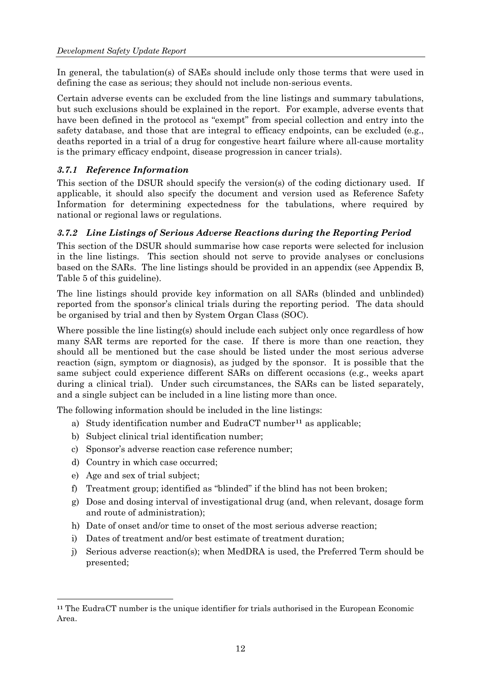<span id="page-15-0"></span>In general, the tabulation(s) of SAEs should include only those terms that were used in defining the case as serious; they should not include non-serious events.

Certain adverse events can be excluded from the line listings and summary tabulations, but such exclusions should be explained in the report. For example, adverse events that have been defined in the protocol as "exempt" from special collection and entry into the safety database, and those that are integral to efficacy endpoints, can be excluded (e.g., deaths reported in a trial of a drug for congestive heart failure where all-cause mortality is the primary efficacy endpoint, disease progression in cancer trials).

## *3.7.1 Reference Information*

This section of the DSUR should specify the version(s) of the coding dictionary used. If applicable, it should also specify the document and version used as Reference Safety Information for determining expectedness for the tabulations, where required by national or regional laws or regulations.

#### *3.7.2 Line Listings of Serious Adverse Reactions during the Reporting Period*

This section of the DSUR should summarise how case reports were selected for inclusion in the line listings. This section should not serve to provide analyses or conclusions based on the SARs. The line listings should be provided in an appendix (see Appendix B, Table 5 of this guideline).

The line listings should provide key information on all SARs (blinded and unblinded) reported from the sponsor's clinical trials during the reporting period. The data should be organised by trial and then by System Organ Class (SOC).

Where possible the line listing(s) should include each subject only once regardless of how many SAR terms are reported for the case. If there is more than one reaction, they should all be mentioned but the case should be listed under the most serious adverse reaction (sign, symptom or diagnosis), as judged by the sponsor. It is possible that the same subject could experience different SARs on different occasions (e.g., weeks apart during a clinical trial). Under such circumstances, the SARs can be listed separately, and a single subject can be included in a line listing more than once.

The following information should be included in the line listings:

- a) Study identification number and EudraCT number**[11](#page-15-0)** as applicable;
- b) Subject clinical trial identification number;
- c) Sponsor's adverse reaction case reference number;
- d) Country in which case occurred;
- e) Age and sex of trial subject;

 $\overline{a}$ 

- f) Treatment group; identified as "blinded" if the blind has not been broken;
- g) Dose and dosing interval of investigational drug (and, when relevant, dosage form and route of administration);
- h) Date of onset and/or time to onset of the most serious adverse reaction;
- i) Dates of treatment and/or best estimate of treatment duration;
- j) Serious adverse reaction(s); when MedDRA is used, the Preferred Term should be presented;

**<sup>11</sup>** The EudraCT number is the unique identifier for trials authorised in the European Economic Area.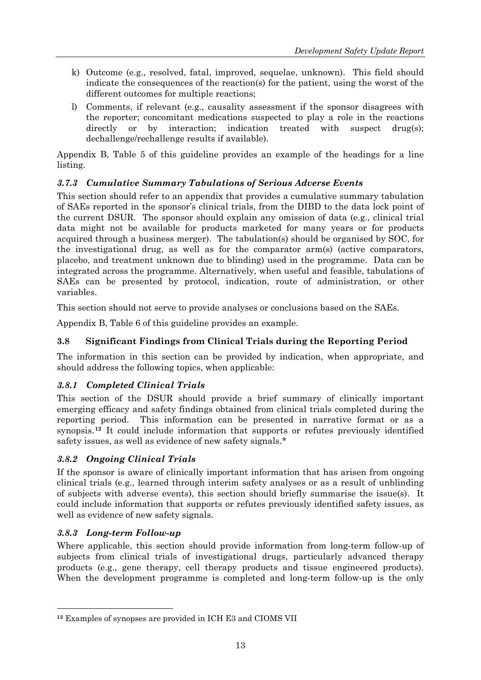- <span id="page-16-0"></span>k) Outcome (e.g., resolved, fatal, improved, sequelae, unknown). This field should indicate the consequences of the reaction(s) for the patient, using the worst of the different outcomes for multiple reactions;
- l) Comments, if relevant (e.g., causality assessment if the sponsor disagrees with the reporter; concomitant medications suspected to play a role in the reactions directly or by interaction; indication treated with suspect drug(s); dechallenge/rechallenge results if available).

Appendix B, Table 5 of this guideline provides an example of the headings for a line listing.

# *3.7.3 Cumulative Summary Tabulations of Serious Adverse Events*

This section should refer to an appendix that provides a cumulative summary tabulation of SAEs reported in the sponsor's clinical trials, from the DIBD to the data lock point of the current DSUR. The sponsor should explain any omission of data (e.g., clinical trial data might not be available for products marketed for many years or for products acquired through a business merger). The tabulation(s) should be organised by SOC, for the investigational drug, as well as for the comparator arm(s) (active comparators, placebo, and treatment unknown due to blinding) used in the programme. Data can be integrated across the programme. Alternatively, when useful and feasible, tabulations of SAEs can be presented by protocol, indication, route of administration, or other variables.

This section should not serve to provide analyses or conclusions based on the SAEs.

Appendix B, Table 6 of this guideline provides an example.

## **3.8 Significant Findings from Clinical Trials during the Reporting Period**

The information in this section can be provided by indication, when appropriate, and should address the following topics, when applicable:

## *3.8.1 Completed Clinical Trials*

This section of the DSUR should provide a brief summary of clinically important emerging efficacy and safety findings obtained from clinical trials completed during the reporting period. This information can be presented in narrative format or as a synopsis.**[12](#page-16-0)** It could include information that supports or refutes previously identified safety issues, as well as evidence of new safety signals.\*

## *3.8.2 Ongoing Clinical Trials*

If the sponsor is aware of clinically important information that has arisen from ongoing clinical trials (e.g., learned through interim safety analyses or as a result of unblinding of subjects with adverse events), this section should briefly summarise the issue(s). It could include information that supports or refutes previously identified safety issues, as well as evidence of new safety signals.

## *3.8.3 Long-term Follow-up*

 $\overline{a}$ 

Where applicable, this section should provide information from long-term follow-up of subjects from clinical trials of investigational drugs, particularly advanced therapy products (e.g., gene therapy, cell therapy products and tissue engineered products). When the development programme is completed and long-term follow-up is the only

**<sup>12</sup>** Examples of synopses are provided in ICH E3 and CIOMS VII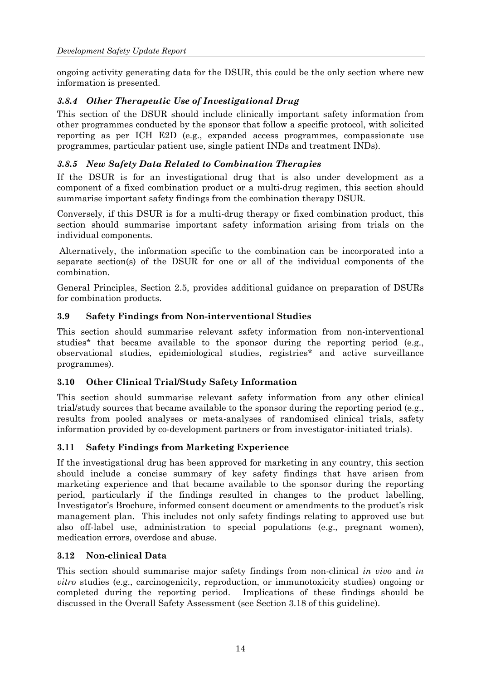<span id="page-17-0"></span>ongoing activity generating data for the DSUR, this could be the only section where new information is presented.

# *3.8.4 Other Therapeutic Use of Investigational Drug*

This section of the DSUR should include clinically important safety information from other programmes conducted by the sponsor that follow a specific protocol, with solicited reporting as per ICH E2D (e.g., expanded access programmes, compassionate use programmes, particular patient use, single patient INDs and treatment INDs).

## *3.8.5 New Safety Data Related to Combination Therapies*

If the DSUR is for an investigational drug that is also under development as a component of a fixed combination product or a multi-drug regimen, this section should summarise important safety findings from the combination therapy DSUR.

Conversely, if this DSUR is for a multi-drug therapy or fixed combination product, this section should summarise important safety information arising from trials on the individual components.

 Alternatively, the information specific to the combination can be incorporated into a separate section(s) of the DSUR for one or all of the individual components of the combination.

General Principles, Section 2.5, provides additional guidance on preparation of DSURs for combination products.

#### **3.9 Safety Findings from Non-interventional Studies**

This section should summarise relevant safety information from non-interventional studies\* that became available to the sponsor during the reporting period (e.g., observational studies, epidemiological studies, registries\* and active surveillance programmes).

## **3.10 Other Clinical Trial/Study Safety Information**

This section should summarise relevant safety information from any other clinical trial/study sources that became available to the sponsor during the reporting period (e.g., results from pooled analyses or meta-analyses of randomised clinical trials, safety information provided by co-development partners or from investigator-initiated trials).

## **3.11 Safety Findings from Marketing Experience**

If the investigational drug has been approved for marketing in any country, this section should include a concise summary of key safety findings that have arisen from marketing experience and that became available to the sponsor during the reporting period, particularly if the findings resulted in changes to the product labelling, Investigator's Brochure, informed consent document or amendments to the product's risk management plan. This includes not only safety findings relating to approved use but also off-label use, administration to special populations (e.g., pregnant women), medication errors, overdose and abuse.

#### **3.12 Non-clinical Data**

This section should summarise major safety findings from non-clinical *in vivo* and *in vitro* studies (e.g., carcinogenicity, reproduction, or immunotoxicity studies) ongoing or completed during the reporting period. Implications of these findings should be discussed in the Overall Safety Assessment (see Section 3.18 of this guideline).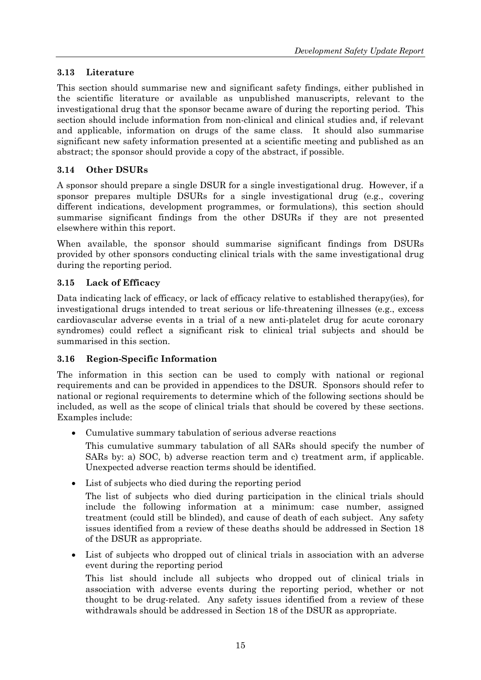# <span id="page-18-0"></span>**3.13 Literature**

This section should summarise new and significant safety findings, either published in the scientific literature or available as unpublished manuscripts, relevant to the investigational drug that the sponsor became aware of during the reporting period. This section should include information from non-clinical and clinical studies and, if relevant and applicable, information on drugs of the same class. It should also summarise significant new safety information presented at a scientific meeting and published as an abstract; the sponsor should provide a copy of the abstract, if possible.

# **3.14 Other DSURs**

A sponsor should prepare a single DSUR for a single investigational drug. However, if a sponsor prepares multiple DSURs for a single investigational drug (e.g., covering different indications, development programmes, or formulations), this section should summarise significant findings from the other DSURs if they are not presented elsewhere within this report.

When available, the sponsor should summarise significant findings from DSURs provided by other sponsors conducting clinical trials with the same investigational drug during the reporting period.

# **3.15 Lack of Efficacy**

Data indicating lack of efficacy, or lack of efficacy relative to established therapy(ies), for investigational drugs intended to treat serious or life-threatening illnesses (e.g., excess cardiovascular adverse events in a trial of a new anti-platelet drug for acute coronary syndromes) could reflect a significant risk to clinical trial subjects and should be summarised in this section.

# **3.16 Region-Specific Information**

The information in this section can be used to comply with national or regional requirements and can be provided in appendices to the DSUR. Sponsors should refer to national or regional requirements to determine which of the following sections should be included, as well as the scope of clinical trials that should be covered by these sections. Examples include:

• Cumulative summary tabulation of serious adverse reactions

This cumulative summary tabulation of all SARs should specify the number of SARs by: a) SOC, b) adverse reaction term and c) treatment arm, if applicable. Unexpected adverse reaction terms should be identified.

• List of subjects who died during the reporting period

The list of subjects who died during participation in the clinical trials should include the following information at a minimum: case number, assigned treatment (could still be blinded), and cause of death of each subject. Any safety issues identified from a review of these deaths should be addressed in Section 18 of the DSUR as appropriate.

• List of subjects who dropped out of clinical trials in association with an adverse event during the reporting period

This list should include all subjects who dropped out of clinical trials in association with adverse events during the reporting period, whether or not thought to be drug-related. Any safety issues identified from a review of these withdrawals should be addressed in Section 18 of the DSUR as appropriate.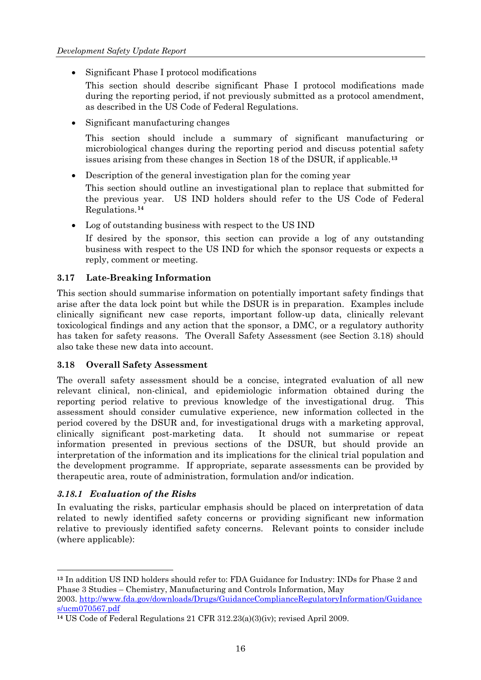- <span id="page-19-0"></span>• Significant Phase I protocol modifications
	- This section should describe significant Phase I protocol modifications made during the reporting period, if not previously submitted as a protocol amendment, as described in the US Code of Federal Regulations.
- Significant manufacturing changes

This section should include a summary of significant manufacturing or microbiological changes during the reporting period and discuss potential [s](#page-19-0)afety issues arising from these changes in Section 18 of the DSUR, if applicable.**[13](#page-19-0)**

• Description of the general investigation plan for the coming year

This section should outline an investigational plan to replace that submitted for the previous [y](#page-19-0)ear. US IND holders should refer to the US Code of Federal Regulations.**[14](#page-19-0)**

• Log of outstanding business with respect to the US IND

If desired by the sponsor, this section can provide a log of any outstanding business with respect to the US IND for which the sponsor requests or expects a reply, comment or meeting.

#### **3.17 Late-Breaking Information**

This section should summarise information on potentially important safety findings that arise after the data lock point but while the DSUR is in preparation. Examples include clinically significant new case reports, important follow-up data, clinically relevant toxicological findings and any action that the sponsor, a DMC, or a regulatory authority has taken for safety reasons. The Overall Safety Assessment (see Section 3.18) should also take these new data into account.

#### **3.18 Overall Safety Assessment**

The overall safety assessment should be a concise, integrated evaluation of all new relevant clinical, non-clinical, and epidemiologic information obtained during the reporting period relative to previous knowledge of the investigational drug. This assessment should consider cumulative experience, new information collected in the period covered by the DSUR and, for investigational drugs with a marketing approval, clinically significant post-marketing data. It should not summarise or repeat information presented in previous sections of the DSUR, but should provide an interpretation of the information and its implications for the clinical trial population and the development programme. If appropriate, separate assessments can be provided by therapeutic area, route of administration, formulation and/or indication.

## *3.18.1 Evaluation of the Risks*

 $\overline{a}$ 

In evaluating the risks, particular emphasis should be placed on interpretation of data related to newly identified safety concerns or providing significant new information relative to previously identified safety concerns. Relevant points to consider include (where applicable):

2003. [http://www.fda.gov/downloads/Drugs/GuidanceComplianceRegulatoryInformation/Guidance](http://www.fda.gov/downloads/Drugs/GuidanceComplianceRegulatoryInformation/Guidances/ucm070567.pdf) [s/ucm070567.pdf](http://www.fda.gov/downloads/Drugs/GuidanceComplianceRegulatoryInformation/Guidances/ucm070567.pdf)

**<sup>13</sup>** In addition US IND holders should refer to: FDA Guidance for Industry: INDs for Phase 2 and Phase 3 Studies – Chemistry, Manufacturing and Controls Information, May

**<sup>14</sup>** US Code of Federal Regulations 21 CFR 312.23(a)(3)(iv); revised April 2009.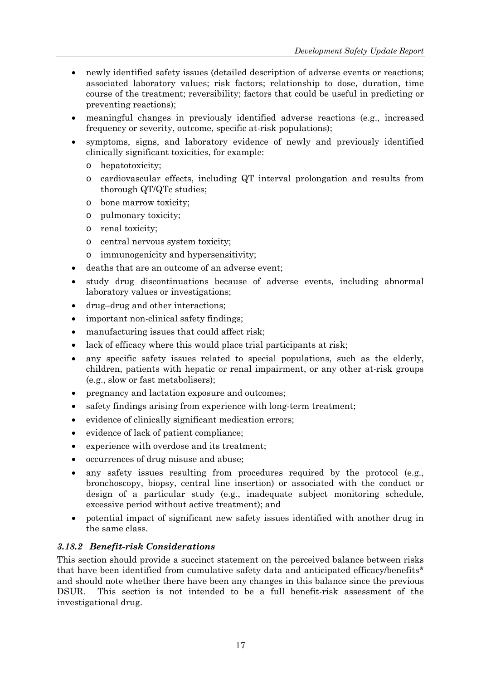- <span id="page-20-0"></span>• newly identified safety issues (detailed description of adverse events or reactions; associated laboratory values; risk factors; relationship to dose, duration, time course of the treatment; reversibility; factors that could be useful in predicting or preventing reactions);
- meaningful changes in previously identified adverse reactions (e.g., increased frequency or severity, outcome, specific at-risk populations);
- symptoms, signs, and laboratory evidence of newly and previously identified clinically significant toxicities, for example:
	- o hepatotoxicity;
	- o cardiovascular effects, including QT interval prolongation and results from thorough QT/QTc studies;
	- o bone marrow toxicity;
	- o pulmonary toxicity;
	- o renal toxicity;
	- o central nervous system toxicity;
	- o immunogenicity and hypersensitivity;
- deaths that are an outcome of an adverse event;
- study drug discontinuations because of adverse events, including abnormal laboratory values or investigations;
- drug–drug and other interactions;
- important non-clinical safety findings;
- manufacturing issues that could affect risk;
- lack of efficacy where this would place trial participants at risk;
- any specific safety issues related to special populations, such as the elderly, children, patients with hepatic or renal impairment, or any other at-risk groups (e.g., slow or fast metabolisers);
- pregnancy and lactation exposure and outcomes;
- safety findings arising from experience with long-term treatment;
- evidence of clinically significant medication errors;
- evidence of lack of patient compliance;
- experience with overdose and its treatment;
- occurrences of drug misuse and abuse;
- any safety issues resulting from procedures required by the protocol (e.g., bronchoscopy, biopsy, central line insertion) or associated with the conduct or design of a particular study (e.g., inadequate subject monitoring schedule, excessive period without active treatment); and
- potential impact of significant new safety issues identified with another drug in the same class.

## *3.18.2 Benefit-risk Considerations*

This section should provide a succinct statement on the perceived balance between risks that have been identified from cumulative safety data and anticipated efficacy/benefits\* and should note whether there have been any changes in this balance since the previous DSUR. This section is not intended to be a full benefit-risk assessment of the investigational drug.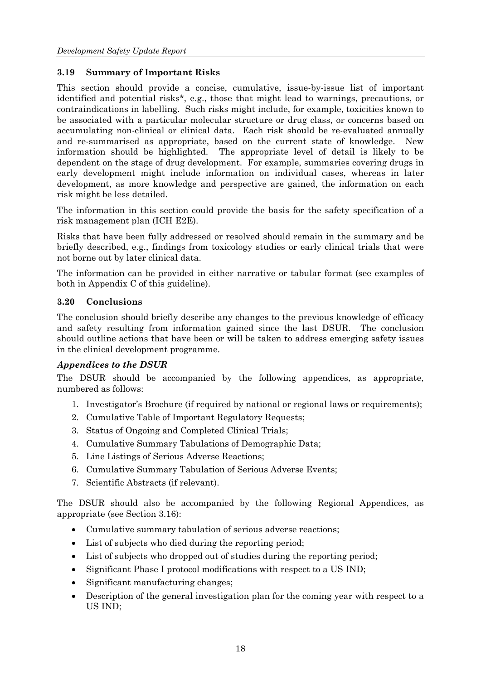## <span id="page-21-0"></span>**3.19 Summary of Important Risks**

This section should provide a concise, cumulative, issue-by-issue list of important identified and potential risks\*, e.g., those that might lead to warnings, precautions, or contraindications in labelling. Such risks might include, for example, toxicities known to be associated with a particular molecular structure or drug class, or concerns based on accumulating non-clinical or clinical data. Each risk should be re-evaluated annually and re-summarised as appropriate, based on the current state of knowledge. New information should be highlighted. The appropriate level of detail is likely to be dependent on the stage of drug development. For example, summaries covering drugs in early development might include information on individual cases, whereas in later development, as more knowledge and perspective are gained, the information on each risk might be less detailed.

The information in this section could provide the basis for the safety specification of a risk management plan (ICH E2E).

Risks that have been fully addressed or resolved should remain in the summary and be briefly described, e.g., findings from toxicology studies or early clinical trials that were not borne out by later clinical data.

The information can be provided in either narrative or tabular format (see examples of both in Appendix C of this guideline).

#### **3.20 Conclusions**

The conclusion should briefly describe any changes to the previous knowledge of efficacy and safety resulting from information gained since the last DSUR. The conclusion should outline actions that have been or will be taken to address emerging safety issues in the clinical development programme.

## *Appendices to the DSUR*

The DSUR should be accompanied by the following appendices, as appropriate, numbered as follows:

- 1. Investigator's Brochure (if required by national or regional laws or requirements);
- 2. Cumulative Table of Important Regulatory Requests;
- 3. Status of Ongoing and Completed Clinical Trials;
- 4. Cumulative Summary Tabulations of Demographic Data;
- 5. Line Listings of Serious Adverse Reactions;
- 6. Cumulative Summary Tabulation of Serious Adverse Events;
- 7. Scientific Abstracts (if relevant).

The DSUR should also be accompanied by the following Regional Appendices, as appropriate (see Section 3.16):

- Cumulative summary tabulation of serious adverse reactions;
- List of subjects who died during the reporting period;
- List of subjects who dropped out of studies during the reporting period;
- Significant Phase I protocol modifications with respect to a US IND;
- Significant manufacturing changes;
- Description of the general investigation plan for the coming year with respect to a US IND;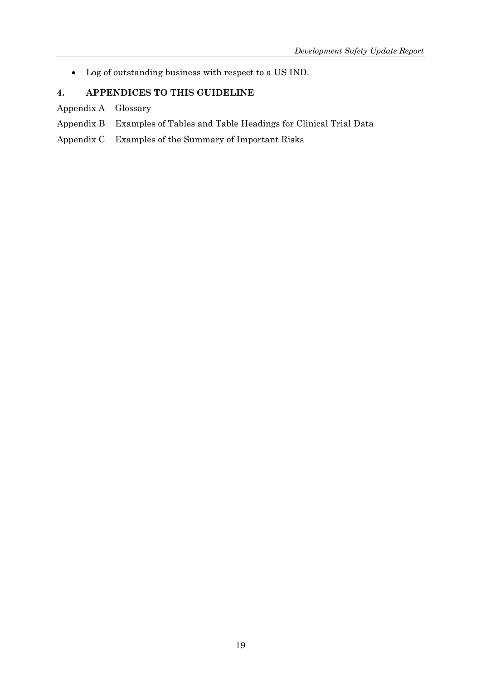<span id="page-22-0"></span>• Log of outstanding business with respect to a US IND.

# **4. APPENDICES TO THIS GUIDELINE**

Appendix A Glossary

- Appendix B Examples of Tables and Table Headings for Clinical Trial Data
- Appendix C Examples of the Summary of Important Risks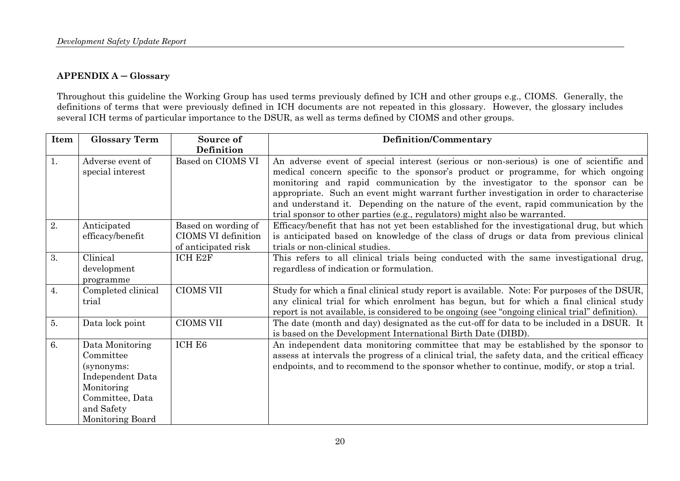#### **APPENDIX A ─ Glossary**

Throughout this guideline the Working Group has used terms previously defined by ICH and other groups e.g., CIOMS. Generally, the definitions of terms that were previously defined in ICH documents are not repeated in this glossary. However, the glossary includes several ICH terms of particular importance to the DSUR, as well as terms defined by CIOMS and other groups.

<span id="page-23-0"></span>

| Item | <b>Glossary Term</b>                                                                                                              | Source of                                                         | Definition/Commentary                                                                                                                                                                                                                                                                                                                                                                                                                                                                                                       |
|------|-----------------------------------------------------------------------------------------------------------------------------------|-------------------------------------------------------------------|-----------------------------------------------------------------------------------------------------------------------------------------------------------------------------------------------------------------------------------------------------------------------------------------------------------------------------------------------------------------------------------------------------------------------------------------------------------------------------------------------------------------------------|
|      |                                                                                                                                   | Definition                                                        |                                                                                                                                                                                                                                                                                                                                                                                                                                                                                                                             |
| 1.   | Adverse event of<br>special interest                                                                                              | Based on CIOMS VI                                                 | An adverse event of special interest (serious or non-serious) is one of scientific and<br>medical concern specific to the sponsor's product or programme, for which ongoing<br>monitoring and rapid communication by the investigator to the sponsor can be<br>appropriate. Such an event might warrant further investigation in order to characterise<br>and understand it. Depending on the nature of the event, rapid communication by the<br>trial sponsor to other parties (e.g., regulators) might also be warranted. |
| 2.   | Anticipated<br>efficacy/benefit                                                                                                   | Based on wording of<br>CIOMS VI definition<br>of anticipated risk | Efficacy/benefit that has not yet been established for the investigational drug, but which<br>is anticipated based on knowledge of the class of drugs or data from previous clinical<br>trials or non-clinical studies.                                                                                                                                                                                                                                                                                                     |
| 3.   | Clinical<br>development<br>programme                                                                                              | ICH E2F                                                           | This refers to all clinical trials being conducted with the same investigational drug,<br>regardless of indication or formulation.                                                                                                                                                                                                                                                                                                                                                                                          |
| 4.   | Completed clinical<br>trial                                                                                                       | <b>CIOMS VII</b>                                                  | Study for which a final clinical study report is available. Note: For purposes of the DSUR,<br>any clinical trial for which enrolment has begun, but for which a final clinical study<br>report is not available, is considered to be ongoing (see "ongoing clinical trial" definition).                                                                                                                                                                                                                                    |
| 5.   | Data lock point                                                                                                                   | <b>CIOMS VII</b>                                                  | The date (month and day) designated as the cut-off for data to be included in a DSUR. It<br>is based on the Development International Birth Date (DIBD).                                                                                                                                                                                                                                                                                                                                                                    |
| 6.   | Data Monitoring<br>Committee<br>(synonyms:<br>Independent Data<br>Monitoring<br>Committee, Data<br>and Safety<br>Monitoring Board | ICH E6                                                            | An independent data monitoring committee that may be established by the sponsor to<br>assess at intervals the progress of a clinical trial, the safety data, and the critical efficacy<br>endpoints, and to recommend to the sponsor whether to continue, modify, or stop a trial.                                                                                                                                                                                                                                          |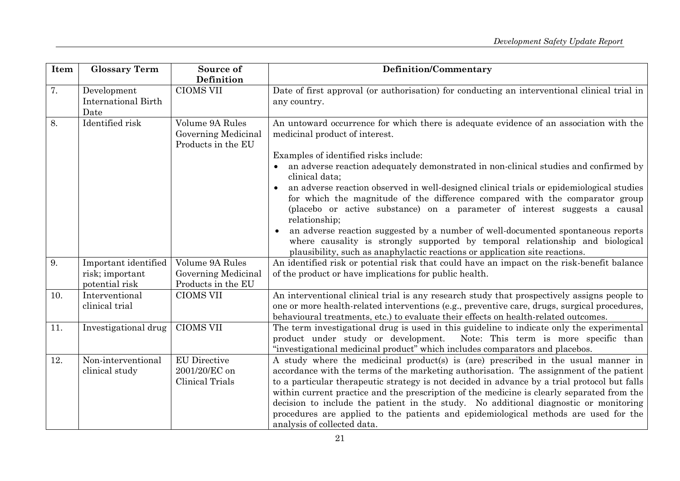| Item | <b>Glossary Term</b>                                      | Source of<br>Definition                                      | <b>Definition/Commentary</b>                                                                                                                                                                                                                                                                                                                                                                                                                                                                                                                                                                                                                                                                                                                                                                               |
|------|-----------------------------------------------------------|--------------------------------------------------------------|------------------------------------------------------------------------------------------------------------------------------------------------------------------------------------------------------------------------------------------------------------------------------------------------------------------------------------------------------------------------------------------------------------------------------------------------------------------------------------------------------------------------------------------------------------------------------------------------------------------------------------------------------------------------------------------------------------------------------------------------------------------------------------------------------------|
| 7.   | Development<br>International Birth<br>Date                | <b>CIOMS VII</b>                                             | Date of first approval (or authorisation) for conducting an interventional clinical trial in<br>any country.                                                                                                                                                                                                                                                                                                                                                                                                                                                                                                                                                                                                                                                                                               |
| 8.   | Identified risk                                           | Volume 9A Rules<br>Governing Medicinal<br>Products in the EU | An untoward occurrence for which there is adequate evidence of an association with the<br>medicinal product of interest.<br>Examples of identified risks include:<br>an adverse reaction adequately demonstrated in non-clinical studies and confirmed by<br>clinical data;<br>an adverse reaction observed in well-designed clinical trials or epidemiological studies<br>for which the magnitude of the difference compared with the comparator group<br>(placebo or active substance) on a parameter of interest suggests a causal<br>relationship;<br>an adverse reaction suggested by a number of well-documented spontaneous reports<br>where causality is strongly supported by temporal relationship and biological<br>plausibility, such as anaphylactic reactions or application site reactions. |
| 9.   | Important identified<br>risk; important<br>potential risk | Volume 9A Rules<br>Governing Medicinal<br>Products in the EU | An identified risk or potential risk that could have an impact on the risk-benefit balance<br>of the product or have implications for public health.                                                                                                                                                                                                                                                                                                                                                                                                                                                                                                                                                                                                                                                       |
| 10.  | Interventional<br>clinical trial                          | <b>CIOMS VII</b>                                             | An interventional clinical trial is any research study that prospectively assigns people to<br>one or more health-related interventions (e.g., preventive care, drugs, surgical procedures,<br>behavioural treatments, etc.) to evaluate their effects on health-related outcomes.                                                                                                                                                                                                                                                                                                                                                                                                                                                                                                                         |
| 11.  | Investigational drug                                      | <b>CIOMS VII</b>                                             | The term investigational drug is used in this guideline to indicate only the experimental<br>Note: This term is more specific than<br>product under study or development.<br>"investigational medicinal product" which includes comparators and placebos.                                                                                                                                                                                                                                                                                                                                                                                                                                                                                                                                                  |
| 12.  | Non-interventional<br>clinical study                      | <b>EU</b> Directive<br>2001/20/EC on<br>Clinical Trials      | A study where the medicinal product(s) is (are) prescribed in the usual manner in<br>accordance with the terms of the marketing authorisation. The assignment of the patient<br>to a particular therapeutic strategy is not decided in advance by a trial protocol but falls<br>within current practice and the prescription of the medicine is clearly separated from the<br>decision to include the patient in the study. No additional diagnostic or monitoring<br>procedures are applied to the patients and epidemiological methods are used for the<br>analysis of collected data.                                                                                                                                                                                                                   |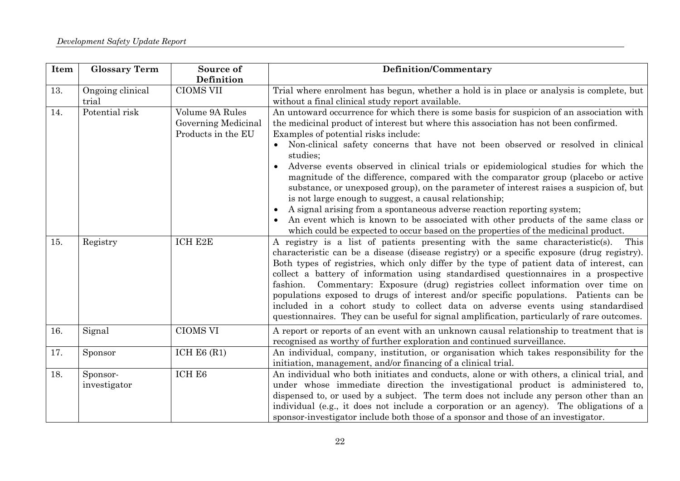| Item | <b>Glossary Term</b>      | Source of<br>Definition                                      | <b>Definition/Commentary</b>                                                                                                                                                                                                                                                                                                                                                                                                                                                                                                                                                                                                                                                                                                                                                                                                                                                                                     |
|------|---------------------------|--------------------------------------------------------------|------------------------------------------------------------------------------------------------------------------------------------------------------------------------------------------------------------------------------------------------------------------------------------------------------------------------------------------------------------------------------------------------------------------------------------------------------------------------------------------------------------------------------------------------------------------------------------------------------------------------------------------------------------------------------------------------------------------------------------------------------------------------------------------------------------------------------------------------------------------------------------------------------------------|
| 13.  | Ongoing clinical<br>trial | <b>CIOMS VII</b>                                             | Trial where enrolment has begun, whether a hold is in place or analysis is complete, but<br>without a final clinical study report available.                                                                                                                                                                                                                                                                                                                                                                                                                                                                                                                                                                                                                                                                                                                                                                     |
| 14.  | Potential risk            | Volume 9A Rules<br>Governing Medicinal<br>Products in the EU | An untoward occurrence for which there is some basis for suspicion of an association with<br>the medicinal product of interest but where this association has not been confirmed.<br>Examples of potential risks include:<br>Non-clinical safety concerns that have not been observed or resolved in clinical<br>studies;<br>Adverse events observed in clinical trials or epidemiological studies for which the<br>magnitude of the difference, compared with the comparator group (placebo or active<br>substance, or unexposed group), on the parameter of interest raises a suspicion of, but<br>is not large enough to suggest, a causal relationship;<br>A signal arising from a spontaneous adverse reaction reporting system;<br>An event which is known to be associated with other products of the same class or<br>which could be expected to occur based on the properties of the medicinal product. |
| 15.  | Registry                  | ICH E2E                                                      | A registry is a list of patients presenting with the same characteristic(s).<br>This<br>characteristic can be a disease (disease registry) or a specific exposure (drug registry).<br>Both types of registries, which only differ by the type of patient data of interest, can<br>collect a battery of information using standardised questionnaires in a prospective<br>Commentary: Exposure (drug) registries collect information over time on<br>fashion.<br>populations exposed to drugs of interest and/or specific populations. Patients can be<br>included in a cohort study to collect data on adverse events using standardised<br>questionnaires. They can be useful for signal amplification, particularly of rare outcomes.                                                                                                                                                                          |
| 16.  | Signal                    | <b>CIOMS VI</b>                                              | A report or reports of an event with an unknown causal relationship to treatment that is<br>recognised as worthy of further exploration and continued surveillance.                                                                                                                                                                                                                                                                                                                                                                                                                                                                                                                                                                                                                                                                                                                                              |
| 17.  | Sponsor                   | ICH E6 $(R1)$                                                | An individual, company, institution, or organisation which takes responsibility for the<br>initiation, management, and/or financing of a clinical trial.                                                                                                                                                                                                                                                                                                                                                                                                                                                                                                                                                                                                                                                                                                                                                         |
| 18.  | Sponsor-<br>investigator  | ICH E6                                                       | An individual who both initiates and conducts, alone or with others, a clinical trial, and<br>under whose immediate direction the investigational product is administered to,<br>dispensed to, or used by a subject. The term does not include any person other than an<br>individual (e.g., it does not include a corporation or an agency). The obligations of a<br>sponsor-investigator include both those of a sponsor and those of an investigator.                                                                                                                                                                                                                                                                                                                                                                                                                                                         |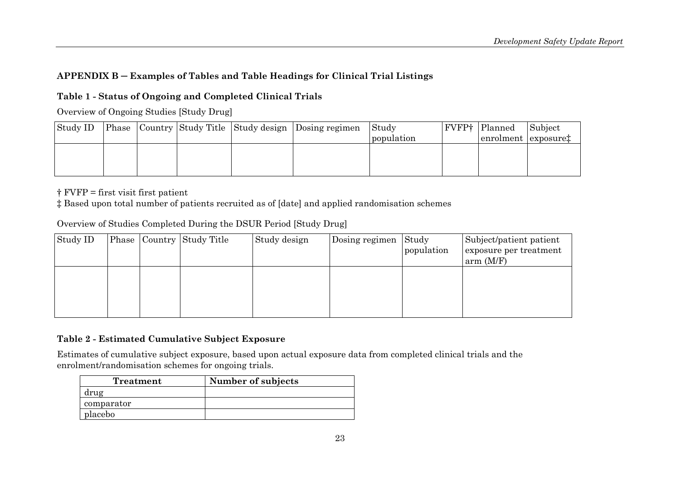# **APPENDIX B ─ Examples of Tables and Table Headings for Clinical Trial Listings**

# **Table 1 - Status of Ongoing and Completed Clinical Trials**

Overview of Ongoing Studies [Study Drug]

| Study ID |  |  | <b>Phase Country Study Title Study design Dosing regimen</b> | Study      | <b>FVFP†</b> Planned            | Subject |
|----------|--|--|--------------------------------------------------------------|------------|---------------------------------|---------|
|          |  |  |                                                              | population | enrolment exposure <sup>†</sup> |         |
|          |  |  |                                                              |            |                                 |         |
|          |  |  |                                                              |            |                                 |         |
|          |  |  |                                                              |            |                                 |         |

† FVFP = first visit first patient

‡ Based upon total number of patients recruited as of [date] and applied randomisation schemes

| Overview of Studies Completed During the DSON Feriod Study Drug |  |  |                           |              |                |                     |                                                                |
|-----------------------------------------------------------------|--|--|---------------------------|--------------|----------------|---------------------|----------------------------------------------------------------|
| Study ID                                                        |  |  | Phase Country Study Title | Study design | Dosing regimen | Study<br>population | Subject/patient patient<br>exposure per treatment<br>arm (M/F) |
|                                                                 |  |  |                           |              |                |                     |                                                                |

Overview of Studies Completed During the DSUR Period [Study Drug]

## **Table 2 - Estimated Cumulative Subject Exposure**

Estimates of cumulative subject exposure, based upon actual exposure data from completed clinical trials and the enrolment/randomisation schemes for ongoing trials.

<span id="page-26-0"></span>

| Treatment  | Number of subjects |
|------------|--------------------|
| drug       |                    |
| comparator |                    |
| placebo    |                    |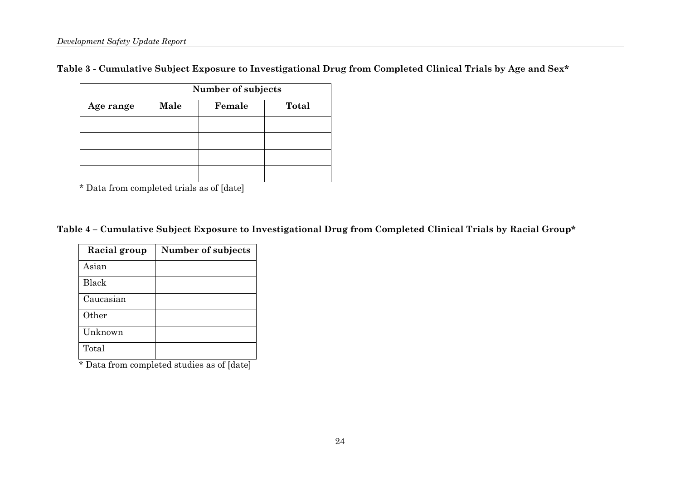**Table 3 - Cumulative Subject Exposure to Investigational Drug from Completed Clinical Trials by Age and Sex\*** 

|           | Number of subjects |        |       |  |  |  |
|-----------|--------------------|--------|-------|--|--|--|
| Age range | Male               | Female | Total |  |  |  |
|           |                    |        |       |  |  |  |
|           |                    |        |       |  |  |  |
|           |                    |        |       |  |  |  |
|           |                    |        |       |  |  |  |

\* Data from completed trials as of [date]

**Table 4 – Cumulative Subject Exposure to Investigational Drug from Completed Clinical Trials by Racial Group\*** 

| Racial group | Number of subjects |
|--------------|--------------------|
| Asian        |                    |
| Black        |                    |
| Caucasian    |                    |
| Other        |                    |
| Unknown      |                    |
| Total        |                    |

\* Data from completed studies as of [date]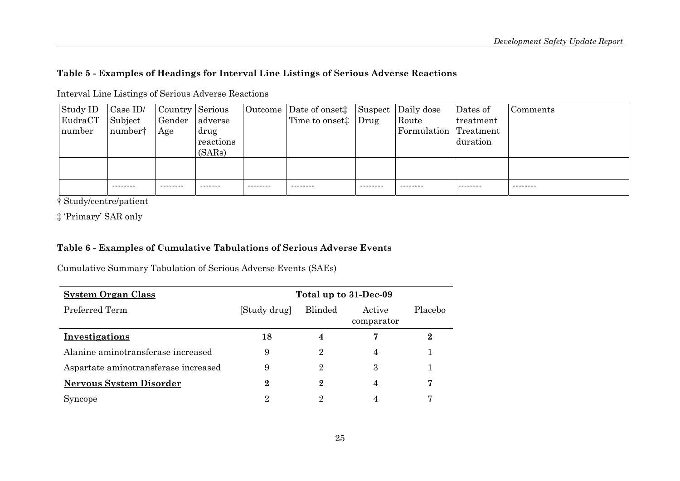#### **Table 5 - Examples of Headings for Interval Line Listings of Serious Adverse Reactions**

| Study ID | $\vert$ Case ID/ | Country Serious |           |          | Outcome Date of onset <sup>†</sup> Suspect Daily dose |          |                       | Dates of  | Comments |
|----------|------------------|-----------------|-----------|----------|-------------------------------------------------------|----------|-----------------------|-----------|----------|
| EudraCT  | Subject          | Gender adverse  |           |          | Time to onset# Drug                                   |          | Route                 | treatment |          |
| number   | numbert          | Age             | drug      |          |                                                       |          | Formulation Treatment |           |          |
|          |                  |                 | reactions |          |                                                       |          |                       | duration  |          |
|          |                  |                 | (SARs)    |          |                                                       |          |                       |           |          |
|          |                  |                 |           |          |                                                       |          |                       |           |          |
|          |                  |                 |           |          |                                                       |          |                       |           |          |
|          | ---------        | --------        | -------   | -------- | --------                                              | -------- | --------              | --------- | -------- |

Interval Line Listings of Serious Adverse Reactions

† Study/centre/patient

‡ 'Primary' SAR only

#### **Table 6 - Examples of Cumulative Tabulations of Serious Adverse Events**

Cumulative Summary Tabulation of Serious Adverse Events (SAEs)

| <b>System Organ Class</b>            | Total up to 31-Dec-09 |                |                      |                |
|--------------------------------------|-----------------------|----------------|----------------------|----------------|
| Preferred Term                       | [Study drug]          | <b>Blinded</b> | Active<br>comparator | <b>Placebo</b> |
| Investigations                       | 18                    |                |                      |                |
| Alanine aminotransferase increased   | 9                     | 2              | 4                    |                |
| Aspartate aminotransferase increased | 9                     | 2              | 3                    |                |
| <b>Nervous System Disorder</b>       | $\mathbf 2$           | 9.             |                      | 7              |
| Syncope                              | 2                     | റ              |                      | π,             |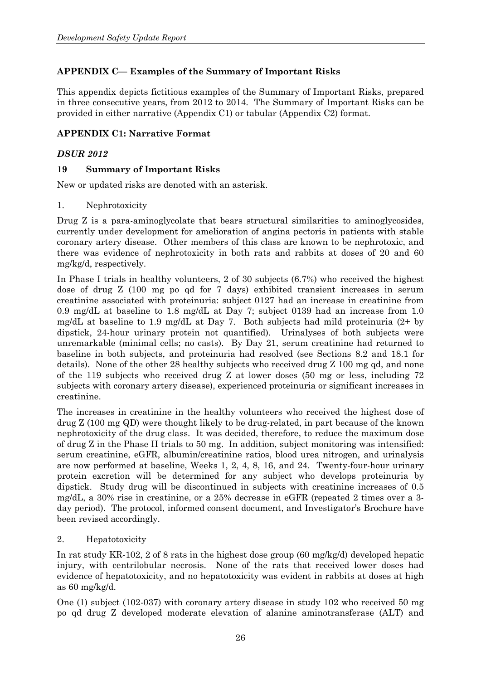# <span id="page-29-0"></span>**APPENDIX C— Examples of the Summary of Important Risks**

This appendix depicts fictitious examples of the Summary of Important Risks, prepared in three consecutive years, from 2012 to 2014. The Summary of Important Risks can be provided in either narrative (Appendix C1) or tabular (Appendix C2) format.

## **APPENDIX C1: Narrative Format**

#### *DSUR 2012*

#### **19 Summary of Important Risks**

New or updated risks are denoted with an asterisk.

#### 1. Nephrotoxicity

Drug Z is a para-aminoglycolate that bears structural similarities to aminoglycosides, currently under development for amelioration of angina pectoris in patients with stable coronary artery disease. Other members of this class are known to be nephrotoxic, and there was evidence of nephrotoxicity in both rats and rabbits at doses of 20 and 60 mg/kg/d, respectively.

In Phase I trials in healthy volunteers, 2 of 30 subjects (6.7%) who received the highest dose of drug Z (100 mg po qd for 7 days) exhibited transient increases in serum creatinine associated with proteinuria: subject 0127 had an increase in creatinine from 0.9 mg/dL at baseline to 1.8 mg/dL at Day 7; subject 0139 had an increase from 1.0 mg/dL at baseline to 1.9 mg/dL at Day 7. Both subjects had mild proteinuria (2+ by dipstick, 24-hour urinary protein not quantified). Urinalyses of both subjects were unremarkable (minimal cells; no casts). By Day 21, serum creatinine had returned to baseline in both subjects, and proteinuria had resolved (see Sections 8.2 and 18.1 for details). None of the other 28 healthy subjects who received drug Z 100 mg qd, and none of the 119 subjects who received drug Z at lower doses (50 mg or less, including 72 subjects with coronary artery disease), experienced proteinuria or significant increases in creatinine.

The increases in creatinine in the healthy volunteers who received the highest dose of drug Z (100 mg QD) were thought likely to be drug-related, in part because of the known nephrotoxicity of the drug class. It was decided, therefore, to reduce the maximum dose of drug Z in the Phase II trials to 50 mg. In addition, subject monitoring was intensified: serum creatinine, eGFR, albumin/creatinine ratios, blood urea nitrogen, and urinalysis are now performed at baseline, Weeks 1, 2, 4, 8, 16, and 24. Twenty-four-hour urinary protein excretion will be determined for any subject who develops proteinuria by dipstick. Study drug will be discontinued in subjects with creatinine increases of 0.5 mg/dL, a 30% rise in creatinine, or a 25% decrease in eGFR (repeated 2 times over a 3 day period). The protocol, informed consent document, and Investigator's Brochure have been revised accordingly.

#### 2. Hepatotoxicity

In rat study KR-102, 2 of 8 rats in the highest dose group (60 mg/kg/d) developed hepatic injury, with centrilobular necrosis. None of the rats that received lower doses had evidence of hepatotoxicity, and no hepatotoxicity was evident in rabbits at doses at high as 60 mg/kg/d.

One (1) subject (102-037) with coronary artery disease in study 102 who received 50 mg po qd drug Z developed moderate elevation of alanine aminotransferase (ALT) and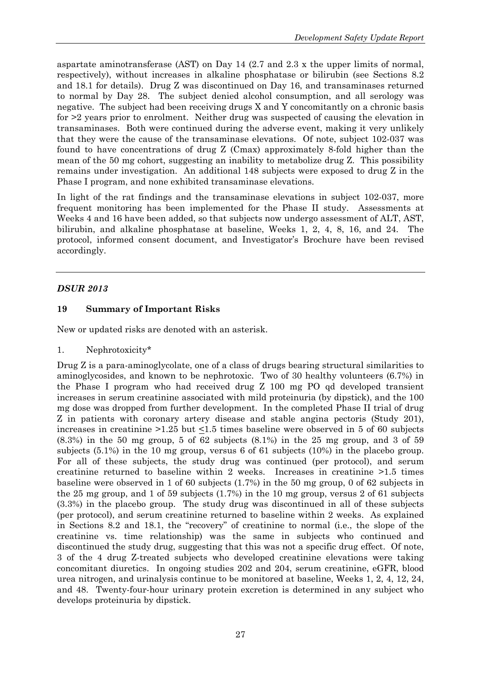aspartate aminotransferase (AST) on Day 14 (2.7 and 2.3 x the upper limits of normal, respectively), without increases in alkaline phosphatase or bilirubin (see Sections 8.2 and 18.1 for details). Drug Z was discontinued on Day 16, and transaminases returned to normal by Day 28. The subject denied alcohol consumption, and all serology was negative. The subject had been receiving drugs X and Y concomitantly on a chronic basis for >2 years prior to enrolment. Neither drug was suspected of causing the elevation in transaminases. Both were continued during the adverse event, making it very unlikely that they were the cause of the transaminase elevations. Of note, subject 102-037 was found to have concentrations of drug Z (Cmax) approximately 8-fold higher than the mean of the 50 mg cohort, suggesting an inability to metabolize drug Z. This possibility remains under investigation. An additional 148 subjects were exposed to drug Z in the Phase I program, and none exhibited transaminase elevations.

In light of the rat findings and the transaminase elevations in subject 102-037, more frequent monitoring has been implemented for the Phase II study. Assessments at Weeks 4 and 16 have been added, so that subjects now undergo assessment of ALT, AST, bilirubin, and alkaline phosphatase at baseline, Weeks 1, 2, 4, 8, 16, and 24. The protocol, informed consent document, and Investigator's Brochure have been revised accordingly.

# *DSUR 2013*

## **19 Summary of Important Risks**

New or updated risks are denoted with an asterisk.

1. Nephrotoxicity\*

Drug Z is a para-aminoglycolate, one of a class of drugs bearing structural similarities to aminoglycosides, and known to be nephrotoxic. Two of 30 healthy volunteers (6.7%) in the Phase I program who had received drug Z 100 mg PO qd developed transient increases in serum creatinine associated with mild proteinuria (by dipstick), and the 100 mg dose was dropped from further development. In the completed Phase II trial of drug Z in patients with coronary artery disease and stable angina pectoris (Study 201), increases in creatinine >1.25 but <1.5 times baseline were observed in 5 of 60 subjects  $(8.3\%)$  in the 50 mg group, 5 of 62 subjects  $(8.1\%)$  in the 25 mg group, and 3 of 59 subjects (5.1%) in the 10 mg group, versus 6 of 61 subjects (10%) in the placebo group. For all of these subjects, the study drug was continued (per protocol), and serum creatinine returned to baseline within 2 weeks. Increases in creatinine >1.5 times baseline were observed in 1 of 60 subjects (1.7%) in the 50 mg group, 0 of 62 subjects in the 25 mg group, and 1 of 59 subjects (1.7%) in the 10 mg group, versus 2 of 61 subjects (3.3%) in the placebo group. The study drug was discontinued in all of these subjects (per protocol), and serum creatinine returned to baseline within 2 weeks. As explained in Sections 8.2 and 18.1, the "recovery" of creatinine to normal (i.e., the slope of the creatinine vs. time relationship) was the same in subjects who continued and discontinued the study drug, suggesting that this was not a specific drug effect. Of note, 3 of the 4 drug Z-treated subjects who developed creatinine elevations were taking concomitant diuretics. In ongoing studies 202 and 204, serum creatinine, eGFR, blood urea nitrogen, and urinalysis continue to be monitored at baseline, Weeks 1, 2, 4, 12, 24, and 48. Twenty-four-hour urinary protein excretion is determined in any subject who develops proteinuria by dipstick.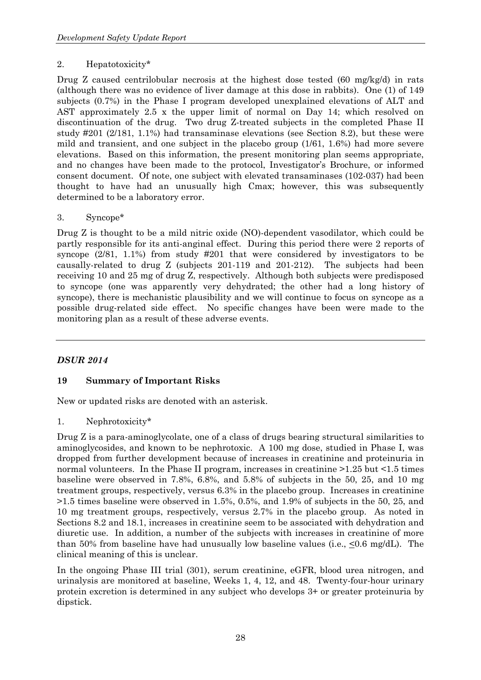#### 2. Hepatotoxicity\*

Drug Z caused centrilobular necrosis at the highest dose tested (60 mg/kg/d) in rats (although there was no evidence of liver damage at this dose in rabbits). One (1) of 149 subjects (0.7%) in the Phase I program developed unexplained elevations of ALT and AST approximately 2.5 x the upper limit of normal on Day 14; which resolved on discontinuation of the drug. Two drug Z-treated subjects in the completed Phase II study #201 (2/181, 1.1%) had transaminase elevations (see Section 8.2), but these were mild and transient, and one subject in the placebo group (1/61, 1.6%) had more severe elevations. Based on this information, the present monitoring plan seems appropriate, and no changes have been made to the protocol, Investigator's Brochure, or informed consent document. Of note, one subject with elevated transaminases (102-037) had been thought to have had an unusually high Cmax; however, this was subsequently determined to be a laboratory error.

#### 3. Syncope\*

Drug Z is thought to be a mild nitric oxide (NO)-dependent vasodilator, which could be partly responsible for its anti-anginal effect. During this period there were 2 reports of syncope (2/81, 1.1%) from study #201 that were considered by investigators to be causally-related to drug Z (subjects 201-119 and 201-212). The subjects had been receiving 10 and 25 mg of drug Z, respectively. Although both subjects were predisposed to syncope (one was apparently very dehydrated; the other had a long history of syncope), there is mechanistic plausibility and we will continue to focus on syncope as a possible drug-related side effect. No specific changes have been were made to the monitoring plan as a result of these adverse events.

## *DSUR 2014*

## **19 Summary of Important Risks**

New or updated risks are denoted with an asterisk.

1. Nephrotoxicity\*

Drug Z is a para-aminoglycolate, one of a class of drugs bearing structural similarities to aminoglycosides, and known to be nephrotoxic. A 100 mg dose, studied in Phase I, was dropped from further development because of increases in creatinine and proteinuria in normal volunteers. In the Phase II program, increases in creatinine >1.25 but <1.5 times baseline were observed in 7.8%, 6.8%, and 5.8% of subjects in the 50, 25, and 10 mg treatment groups, respectively, versus 6.3% in the placebo group. Increases in creatinine >1.5 times baseline were observed in 1.5%, 0.5%, and 1.9% of subjects in the 50, 25, and 10 mg treatment groups, respectively, versus 2.7% in the placebo group. As noted in Sections 8.2 and 18.1, increases in creatinine seem to be associated with dehydration and diuretic use. In addition, a number of the subjects with increases in creatinine of more than 50% from baseline have had unusually low baseline values (i.e.,  $\leq 0.6$  mg/dL). The clinical meaning of this is unclear.

In the ongoing Phase III trial (301), serum creatinine, eGFR, blood urea nitrogen, and urinalysis are monitored at baseline, Weeks 1, 4, 12, and 48. Twenty-four-hour urinary protein excretion is determined in any subject who develops 3+ or greater proteinuria by dipstick.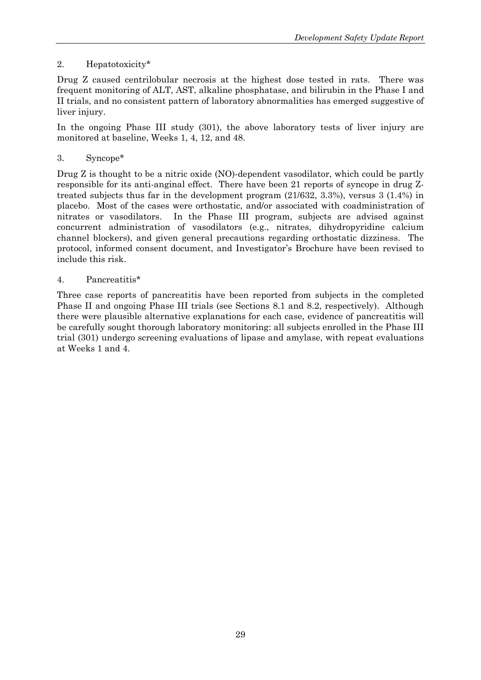# 2. Hepatotoxicity\*

Drug Z caused centrilobular necrosis at the highest dose tested in rats. There was frequent monitoring of ALT, AST, alkaline phosphatase, and bilirubin in the Phase I and II trials, and no consistent pattern of laboratory abnormalities has emerged suggestive of liver injury.

In the ongoing Phase III study (301), the above laboratory tests of liver injury are monitored at baseline, Weeks 1, 4, 12, and 48.

3. Syncope\*

Drug Z is thought to be a nitric oxide (NO)-dependent vasodilator, which could be partly responsible for its anti-anginal effect. There have been 21 reports of syncope in drug Ztreated subjects thus far in the development program (21/632, 3.3%), versus 3 (1.4%) in placebo. Most of the cases were orthostatic, and/or associated with coadministration of nitrates or vasodilators. In the Phase III program, subjects are advised against concurrent administration of vasodilators (e.g., nitrates, dihydropyridine calcium channel blockers), and given general precautions regarding orthostatic dizziness. The protocol, informed consent document, and Investigator's Brochure have been revised to include this risk.

#### 4. Pancreatitis\*

Three case reports of pancreatitis have been reported from subjects in the completed Phase II and ongoing Phase III trials (see Sections 8.1 and 8.2, respectively). Although there were plausible alternative explanations for each case, evidence of pancreatitis will be carefully sought thorough laboratory monitoring: all subjects enrolled in the Phase III trial (301) undergo screening evaluations of lipase and amylase, with repeat evaluations at Weeks 1 and 4.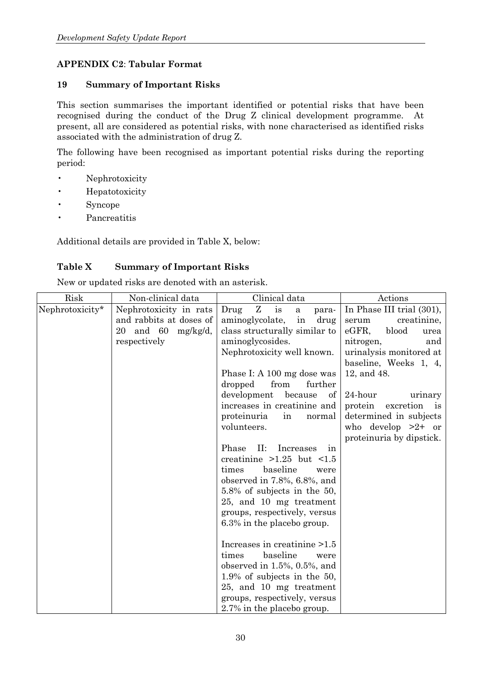# **APPENDIX C2**: **Tabular Format**

#### **19 Summary of Important Risks**

This section summarises the important identified or potential risks that have been recognised during the conduct of the Drug Z clinical development programme. At present, all are considered as potential risks, with none characterised as identified risks associated with the administration of drug Z.

The following have been recognised as important potential risks during the reporting period:

- Nephrotoxicity
- Hepatotoxicity
- Syncope
- Pancreatitis

Additional details are provided in Table X, below:

## **Table X Summary of Important Risks**

New or updated risks are denoted with an asterisk.